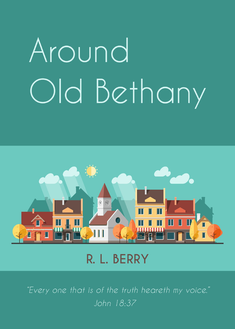# Around Old Bethany



R. L. BERRY

"Every one that is of the truth heareth my voice."  $\overline{John}$   $18.37$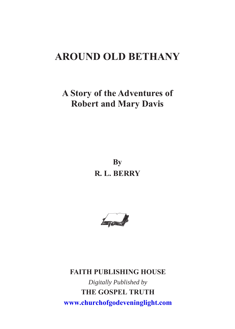# **AROUND OLD BETHANY**

# **A Story of the Adventures of Robert and Mary Davis**

**By R. L. BERRY**



**FAITH PUBLISHING HOUSE** *Digitally Published by* **THE GOSPEL TRUTH www.churchofgodeveninglight.com**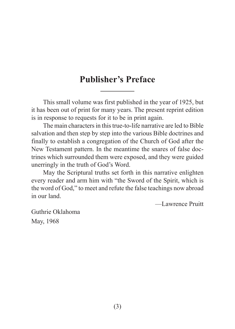## **Publisher's Preface**

This small volume was first published in the year of 1925, but it has been out of print for many years. The present reprint edition is in response to requests for it to be in print again.

The main characters in this true-to-life narrative are led to Bible salvation and then step by step into the various Bible doctrines and finally to establish a congregation of the Church of God after the New Testament pattern. In the meantime the snares of false doctrines which surrounded them were exposed, and they were guided unerringly in the truth of God's Word.

May the Scriptural truths set forth in this narrative enlighten every reader and arm him with "the Sword of the Spirit, which is the word of God," to meet and refute the false teachings now abroad in our land.

—Lawrence Pruitt

Guthrie Oklahoma May, 1968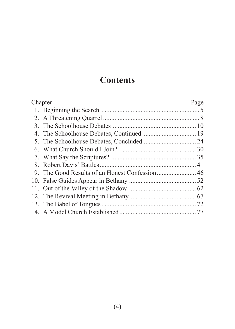# **Contents**

| Chapter |  | Page |
|---------|--|------|
|         |  |      |
|         |  |      |
|         |  |      |
|         |  |      |
|         |  |      |
|         |  |      |
|         |  |      |
|         |  |      |
|         |  |      |
|         |  |      |
|         |  |      |
|         |  |      |
|         |  |      |
|         |  |      |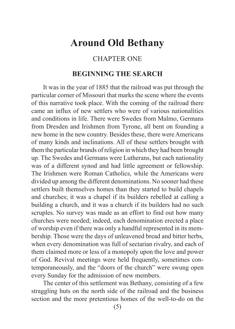# <span id="page-6-0"></span>**Around Old Bethany**

## CHAPTER ONE

## **BEGINNING THE SEARCH**

It was in the year of 1885 that the railroad was put through the particular corner of Missouri that marks the scene where the events of this narrative took place. With the coming of the railroad there came an influx of new settlers who were of various nationalities and conditions in life. There were Swedes from Malmo, Germans from Dresden and Irishmen from Tyrone, all bent on founding a new home in the new country. Besides these, there were Americans of many kinds and inclinations. All of these settlers brought with them the particular brands of religion in which they had been brought up. The Swedes and Germans were Lutherans, but each nationality was of a different synod and had little agreement or fellowship. The Irishmen were Roman Catholics, while the Americans were divided up among the different denominations. No sooner had these settlers built themselves homes than they started to build chapels and churches; it was a chapel if its builders rebelled at calling a building a church, and it was a church if its builders had no such scruples. No survey was made as an effort to find out how many churches were needed; indeed, each denomination erected a place of worship even if there was only a handful represented in its membership. Those were the days of unleavened bread and bitter herbs, when every denomination was full of sectarian rivalry, and each of them claimed more or less of a monopoly upon the love and power of God. Revival meetings were held frequently, sometimes contemporaneously, and the "doors of the church" were swung open every Sunday for the admission of new members.

The center of this settlement was Bethany, consisting of a few straggling huts on the north side of the railroad and the business section and the more pretentious homes of the well-to-do on the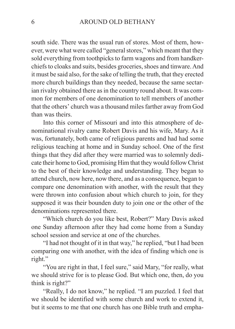south side. There was the usual run of stores. Most of them, however, were what were called "general stores," which meant that they sold everything from toothpicks to farm wagons and from handkerchiefs to cloaks and suits, besides groceries, shoes and tinware. And it must be said also, for the sake of telling the truth, that they erected more church buildings than they needed, because the same sectarian rivalry obtained there as in the country round about. It was common for members of one denomination to tell members of another that the others' church was a thousand miles farther away from God than was theirs.

Into this corner of Missouri and into this atmosphere of denominational rivalry came Robert Davis and his wife, Mary. As it was, fortunately, both came of religious parents and had had some religious teaching at home and in Sunday school. One of the first things that they did after they were married was to solemnly dedicate their home to God, promising Him that they would follow Christ to the best of their knowledge and understanding. They began to attend church, now here, now there, and as a consequence, began to compare one denomination with another, with the result that they were thrown into confusion about which church to join, for they supposed it was their bounden duty to join one or the other of the denominations represented there.

"Which church do you like best, Robert?" Mary Davis asked one Sunday afternoon after they had come home from a Sunday school session and service at one of the churches.

"I had not thought of it in that way," he replied, "but I had been comparing one with another, with the idea of finding which one is right."

"You are right in that, I feel sure," said Mary, "for really, what we should strive for is to please God. But which one, then, do you think is right?"

"Really, I do not know," he replied. "I am puzzled. I feel that we should be identified with some church and work to extend it, but it seems to me that one church has one Bible truth and empha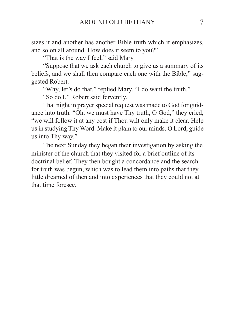sizes it and another has another Bible truth which it emphasizes, and so on all around. How does it seem to you?"

"That is the way I feel," said Mary.

"Suppose that we ask each church to give us a summary of its beliefs, and we shall then compare each one with the Bible," suggested Robert.

"Why, let's do that," replied Mary. "I do want the truth."

"So do I," Robert said fervently.

That night in prayer special request was made to God for guidance into truth. "Oh, we must have Thy truth, O God," they cried, "we will follow it at any cost if Thou wilt only make it clear. Help us in studying Thy Word. Make it plain to our minds. O Lord, guide us into Thy way."

The next Sunday they began their investigation by asking the minister of the church that they visited for a brief outline of its doctrinal belief. They then bought a concordance and the search for truth was begun, which was to lead them into paths that they little dreamed of then and into experiences that they could not at that time foresee.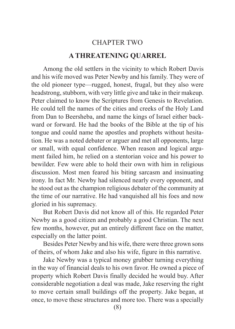# CHAPTER TWO **A THREATENING QUARREL**

<span id="page-9-0"></span>Among the old settlers in the vicinity to which Robert Davis and his wife moved was Peter Newby and his family. They were of the old pioneer type—rugged, honest, frugal, but they also were headstrong, stubborn, with very little give and take in their makeup. Peter claimed to know the Scriptures from Genesis to Revelation. He could tell the names of the cities and creeks of the Holy Land from Dan to Beersheba, and name the kings of Israel either backward or forward. He had the books of the Bible at the tip of his tongue and could name the apostles and prophets without hesitation. He was a noted debater or arguer and met all opponents, large or small, with equal confidence. When reason and logical argument failed him, he relied on a stentorian voice and his power to bewilder. Few were able to hold their own with him in religious discussion. Most men feared his biting sarcasm and insinuating irony. In fact Mr. Newby had silenced nearly every opponent, and he stood out as the champion religious debater of the community at the time of our narrative. He had vanquished all his foes and now gloried in his supremacy.

But Robert Davis did not know all of this. He regarded Peter Newby as a good citizen and probably a good Christian. The next few months, however, put an entirely different face on the matter, especially on the latter point.

Besides Peter Newby and his wife, there were three grown sons of theirs, of whom Jake and also his wife, figure in this narrative.

Jake Newby was a typical money grubber turning everything in the way of financial deals to his own favor. He owned a piece of property which Robert Davis finally decided he would buy. After considerable negotiation a deal was made, Jake reserving the right to move certain small buildings off the property. Jake began, at once, to move these structures and more too. There was a specially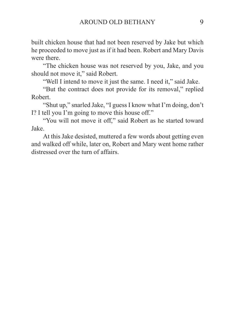built chicken house that had not been reserved by Jake but which he proceeded to move just as if it had been. Robert and Mary Davis were there.

"The chicken house was not reserved by you, Jake, and you should not move it," said Robert.

"Well I intend to move it just the same. I need it," said Jake.

"But the contract does not provide for its removal," replied Robert.

"Shut up," snarled Jake, "I guess I know what I'm doing, don't I? I tell you I'm going to move this house off."

"You will not move it off," said Robert as he started toward Jake.

At this Jake desisted, muttered a few words about getting even and walked off while, later on, Robert and Mary went home rather distressed over the turn of affairs.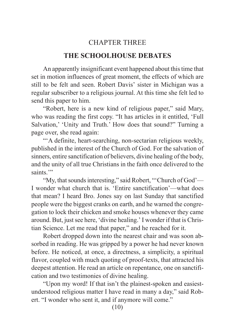## CHAPTER THREE

### **THE SCHOOLHOUSE DEBATES**

<span id="page-11-0"></span>An apparently insignificant event happened about this time that set in motion influences of great moment, the effects of which are still to be felt and seen. Robert Davis' sister in Michigan was a regular subscriber to a religious journal. At this time she felt led to send this paper to him.

"Robert, here is a new kind of religious paper," said Mary, who was reading the first copy. "It has articles in it entitled, 'Full Salvation,' 'Unity and Truth.' How does that sound?" Turning a page over, she read again:

"A definite, heart-searching, non-sectarian religious weekly, published in the interest of the Church of God. For the salvation of sinners, entire sanctification of believers, divine healing of the body, and the unity of all true Christians in the faith once delivered to the saints."

"My, that sounds interesting," said Robert, "'Church of God'— I wonder what church that is. 'Entire sanctification'—what does that mean? I heard Bro. Jones say on last Sunday that sanctified people were the biggest cranks on earth, and he warned the congregation to lock their chicken and smoke houses whenever they came around. But, just see here, 'divine healing.' I wonder if that is Christian Science. Let me read that paper," and he reached for it.

Robert dropped down into the nearest chair and was soon absorbed in reading. He was gripped by a power he had never known before. He noticed, at once, a directness, a simplicity, a spiritual flavor, coupled with much quoting of proof-texts, that attracted his deepest attention. He read an article on repentance, one on sanctification and two testimonies of divine healing.

"Upon my word! If that isn't the plainest-spoken and easiestunderstood religious matter I have read in many a day," said Robert. "I wonder who sent it, and if anymore will come."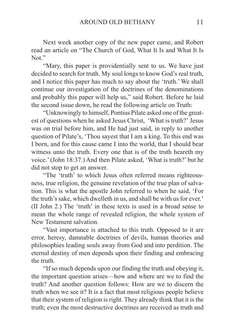Next week another copy of the new paper came, and Robert read an article on "The Church of God, What It Is and What It Is Not."

"Mary, this paper is providentially sent to us. We have just decided to search for truth. My soul longs to know God's real truth, and I notice this paper has much to say about the 'truth.' We shall continue our investigation of the doctrines of the denominations and probably this paper will help us," said Robert. Before he laid the second issue down, he read the following article on Truth:

"Unknowingly to himself, Pontius Pilate asked one of the greatest of questions when he asked Jesus Christ, 'What is truth?' Jesus was on trial before him, and He had just said, in reply to another question of Pilate's, 'Thou sayest that I am a king. To this end was I born, and for this cause came I into the world, that I should bear witness unto the truth. Every one that is of the truth heareth my voice.' (John 18:37.) And then Pilate asked, 'What is truth?' but he did not stop to get an answer.

"The 'truth' to which Jesus often referred means righteousness, true religion, the genuine revelation of the true plan of salvation. This is what the apostle John referred to when he said, 'For the truth's sake, which dwelleth in us, and shall be with us for ever.' (II John 2.) The 'truth' in these texts is used in a broad sense to mean the whole range of revealed religion, the whole system of New Testament salvation.

"Vast importance is attached to this truth. Opposed to it are error, heresy, damnable doctrines of devils, human theories and philosophies leading souls away from God and into perdition. The eternal destiny of men depends upon their finding and embracing the truth.

"If so much depends upon our finding the truth and obeying it, the important question arises—how and where are we to find the truth? And another question follows: How are we to discern the truth when we see it? It is a fact that most religious people believe that their system of religion is right. They already think that it is the truth; even the most destructive doctrines are received as truth and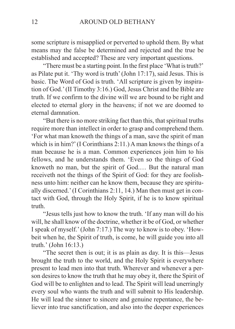some scripture is misapplied or perverted to uphold them. By what means may the false be determined and rejected and the true be established and accepted? These are very important questions.

"There must be a starting point. In the first place 'What is truth?' as Pilate put it. 'Thy word is truth' (John 17:17), said Jesus. This is basic. The Word of God is truth. 'All scripture is given by inspiration of God.' (II Timothy 3:16.) God, Jesus Christ and the Bible are truth. If we confirm to the divine will we are bound to be right and elected to eternal glory in the heavens; if not we are doomed to eternal damnation.

"But there is no more striking fact than this, that spiritual truths require more than intellect in order to grasp and comprehend them. 'For what man knoweth the things of a man, save the spirit of man which is in him?' (I Corinthians 2:11.) A man knows the things of a man because he is a man. Common experiences join him to his fellows, and he understands them. 'Even so the things of God knoweth no man, but the spirit of God.… But the natural man receiveth not the things of the Spirit of God: for they are foolishness unto him: neither can he know them, because they are spiritually discerned.' (I Corinthians 2:11, 14.) Man then must get in contact with God, through the Holy Spirit, if he is to know spiritual truth.

"Jesus tells just how to know the truth. 'If any man will do his will, he shall know of the doctrine, whether it be of God, or whether I speak of myself.' (John 7:17.) The way to know is to obey. 'Howbeit when he, the Spirit of truth, is come, he will guide you into all truth.' (John 16:13.)

"The secret then is out; it is as plain as day. It is this—Jesus brought the truth to the world, and the Holy Spirit is everywhere present to lead men into that truth. Wherever and whenever a person desires to know the truth that he may obey it, there the Spirit of God will be to enlighten and to lead. The Spirit will lead unerringly every soul who wants the truth and will submit to His leadership. He will lead the sinner to sincere and genuine repentance, the believer into true sanctification, and also into the deeper experiences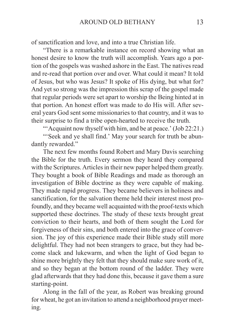of sanctification and love, and into a true Christian life.

"There is a remarkable instance on record showing what an honest desire to know the truth will accomplish. Years ago a portion of the gospels was washed ashore in the East. The natives read and re-read that portion over and over. What could it mean? It told of Jesus, but who was Jesus? It spoke of His dying, but what for? And yet so strong was the impression this scrap of the gospel made that regular periods were set apart to worship the Being hinted at in that portion. An honest effort was made to do His will. After several years God sent some missionaries to that country, and it was to their surprise to find a tribe open-hearted to receive the truth.

"'Acquaint now thyself with him, and be at peace.' (Job 22:21.)

"Seek and ye shall find.' May your search for truth be abundantly rewarded."

The next few months found Robert and Mary Davis searching the Bible for the truth. Every sermon they heard they compared with the Scriptures. Articles in their new paper helped them greatly. They bought a book of Bible Readings and made as thorough an investigation of Bible doctrine as they were capable of making. They made rapid progress. They became believers in holiness and sanctification, for the salvation theme held their interest most profoundly, and they became well acquainted with the proof-texts which supported these doctrines. The study of these texts brought great conviction to their hearts, and both of them sought the Lord for forgiveness of their sins, and both entered into the grace of conversion. The joy of this experience made their Bible study still more delightful. They had not been strangers to grace, but they had become slack and lukewarm, and when the light of God began to shine more brightly they felt that they should make sure work of it, and so they began at the bottom round of the ladder. They were glad afterwards that they had done this, because it gave them a sure starting-point.

Along in the fall of the year, as Robert was breaking ground for wheat, he got an invitation to attend a neighborhood prayer meeting.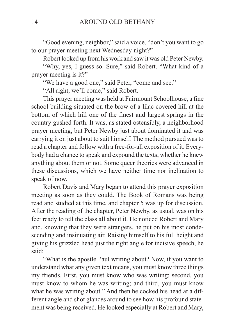"Good evening, neighbor," said a voice, "don't you want to go to our prayer meeting next Wednesday night?"

Robert looked up from his work and saw it was old Peter Newby.

"Why, yes, I guess so. Sure," said Robert. "What kind of a prayer meeting is it?"

"We have a good one," said Peter, "come and see."

"All right, we'll come," said Robert.

This prayer meeting was held at Fairmount Schoolhouse, a fine school building situated on the brow of a lilac covered hill at the bottom of which hill one of the finest and largest springs in the country gushed forth. It was, as stated ostensibly, a neighborhood prayer meeting, but Peter Newby just about dominated it and was carrying it on just about to suit himself. The method pursued was to read a chapter and follow with a free-for-all exposition of it. Everybody had a chance to speak and expound the texts, whether he knew anything about them or not. Some queer theories were advanced in these discussions, which we have neither time nor inclination to speak of now.

Robert Davis and Mary began to attend this prayer exposition meeting as soon as they could. The Book of Romans was being read and studied at this time, and chapter 5 was up for discussion. After the reading of the chapter, Peter Newby, as usual, was on his feet ready to tell the class all about it. He noticed Robert and Mary and, knowing that they were strangers, he put on his most condescending and insinuating air. Raising himself to his full height and giving his grizzled head just the right angle for incisive speech, he said:

"What is the apostle Paul writing about? Now, if you want to understand what any given text means, you must know three things my friends. First, you must know who was writing; second, you must know to whom he was writing; and third, you must know what he was writing about." And then he cocked his head at a different angle and shot glances around to see how his profound statement was being received. He looked especially at Robert and Mary,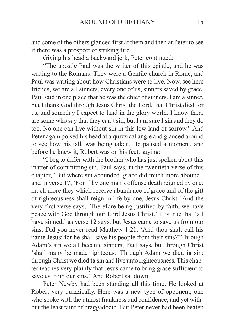and some of the others glanced first at them and then at Peter to see if there was a prospect of striking fire.

Giving his head a backward jerk, Peter continued:

"The apostle Paul was the writer of this epistle, and he was writing to the Romans. They were a Gentile church in Rome, and Paul was writing about how Christians were to live. Now, see here friends, we are all sinners, every one of us, sinners saved by grace. Paul said in one place that he was the chief of sinners. I am a sinner, but I thank God through Jesus Christ the Lord, that Christ died for us, and someday I expect to land in the glory world. I know there are some who say that they can't sin, but I am sure I sin and they do too. No one can live without sin in this low land of sorrow." And Peter again poised his head at a quizzical angle and glanced around to see how his talk was being taken. He paused a moment, and before he knew it, Robert was on his feet, saying:

"I beg to differ with the brother who has just spoken about this matter of committing sin. Paul says, in the twentieth verse of this chapter, 'But where sin abounded, grace did much more abound,' and in verse 17, 'For if by one man's offense death reigned by one; much more they which receive abundance of grace and of the gift of righteousness shall reign in life by one, Jesus Christ.' And the very first verse says, 'Therefore being justified by faith, we have peace with God through our Lord Jesus Christ.' It is true that 'all have sinned,' as verse 12 says, but Jesus came to save us from our sins. Did you never read Matthew 1:21, 'And thou shalt call his name Jesus: for he shall save his people from their sins?' Through Adam's sin we all became sinners, Paul says, but through Christ 'shall many be made righteous.' Through Adam we died **in** sin; through Christ we died **to** sin and live unto righteousness. This chapter teaches very plainly that Jesus came to bring grace sufficient to save us from our sins." And Robert sat down.

Peter Newby had been standing all this time. He looked at Robert very quizzically. Here was a new type of opponent, one who spoke with the utmost frankness and confidence, and yet without the least taint of braggadocio. But Peter never had been beaten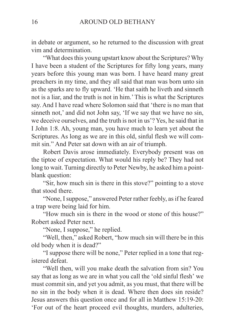in debate or argument, so he returned to the discussion with great vim and determination.

"What does this young upstart know about the Scriptures? Why I have been a student of the Scriptures for fifty long years, many years before this young man was born. I have heard many great preachers in my time, and they all said that man was born unto sin as the sparks are to fly upward. 'He that saith he liveth and sinneth not is a liar, and the truth is not in him.' This is what the Scriptures say. And I have read where Solomon said that 'there is no man that sinneth not,' and did not John say, 'If we say that we have no sin, we deceive ourselves, and the truth is not in us'? Yes, he said that in I John 1:8. Ah, young man, you have much to learn yet about the Scriptures. As long as we are in this old, sinful flesh we will commit sin." And Peter sat down with an air of triumph.

Robert Davis arose immediately. Everybody present was on the tiptoe of expectation. What would his reply be? They had not long to wait. Turning directly to Peter Newby, he asked him a pointblank question:

"Sir, how much sin is there in this stove?" pointing to a stove that stood there.

"None, I suppose," answered Peter rather feebly, as if he feared a trap were being laid for him.

"How much sin is there in the wood or stone of this house?" Robert asked Peter next.

"None, I suppose," he replied.

"Well, then," asked Robert, "how much sin will there be in this old body when it is dead?"

"I suppose there will be none," Peter replied in a tone that registered defeat.

"Well then, will you make death the salvation from sin? You say that as long as we are in what you call the 'old sinful flesh' we must commit sin, and yet you admit, as you must, that there will be no sin in the body when it is dead. Where then does sin reside? Jesus answers this question once and for all in Matthew 15:19-20: 'For out of the heart proceed evil thoughts, murders, adulteries,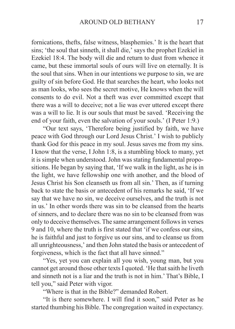fornications, thefts, false witness, blasphemies.' It is the heart that sins; 'the soul that sinneth, it shall die,' says the prophet Ezekiel in Ezekiel 18:4. The body will die and return to dust from whence it came, but these immortal souls of ours will live on eternally. It is the soul that sins. When in our intentions we purpose to sin, we are guilty of sin before God. He that searches the heart, who looks not as man looks, who sees the secret motive, He knows when the will consents to do evil. Not a theft was ever committed except that there was a will to deceive; not a lie was ever uttered except there was a will to lie. It is our souls that must be saved. 'Receiving the end of your faith, even the salvation of your souls.' (I Peter 1:9.)

"Our text says, 'Therefore being justified by faith, we have peace with God through our Lord Jesus Christ.' I wish to publicly thank God for this peace in my soul. Jesus saves me from my sins. I know that the verse, I John 1:8, is a stumbling block to many, yet it is simple when understood. John was stating fundamental propositions. He began by saying that, 'If we walk in the light, as he is in the light, we have fellowship one with another, and the blood of Jesus Christ his Son cleanseth us from all sin.' Then, as if turning back to state the basis or antecedent of his remarks he said, 'If we say that we have no sin, we deceive ourselves, and the truth is not in us.' In other words there was sin to be cleansed from the hearts of sinners, and to declare there was no sin to be cleansed from was only to deceive themselves. The same arrangement follows in verses 9 and 10, where the truth is first stated that 'if we confess our sins, he is faithful and just to forgive us our sins, and to cleanse us from all unrighteousness,' and then John stated the basis or antecedent of forgiveness, which is the fact that all have sinned."

"Yes, yet you can explain all you wish, young man, but you cannot get around those other texts I quoted. 'He that saith he liveth and sinneth not is a liar and the truth is not in him.' That's Bible, I tell you," said Peter with vigor.

"Where is that in the Bible?" demanded Robert.

"It is there somewhere. I will find it soon," said Peter as he started thumbing his Bible. The congregation waited in expectancy.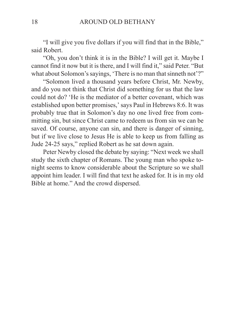"I will give you five dollars if you will find that in the Bible," said Robert.

"Oh, you don't think it is in the Bible? I will get it. Maybe I cannot find it now but it is there, and I will find it," said Peter. "But what about Solomon's sayings, 'There is no man that sinneth not'?"

"Solomon lived a thousand years before Christ, Mr. Newby, and do you not think that Christ did something for us that the law could not do? 'He is the mediator of a better covenant, which was established upon better promises,' says Paul in Hebrews 8:6. It was probably true that in Solomon's day no one lived free from committing sin, but since Christ came to redeem us from sin we can be saved. Of course, anyone can sin, and there is danger of sinning, but if we live close to Jesus He is able to keep us from falling as Jude 24-25 says," replied Robert as he sat down again.

Peter Newby closed the debate by saying: "Next week we shall study the sixth chapter of Romans. The young man who spoke tonight seems to know considerable about the Scripture so we shall appoint him leader. I will find that text he asked for. It is in my old Bible at home." And the crowd dispersed.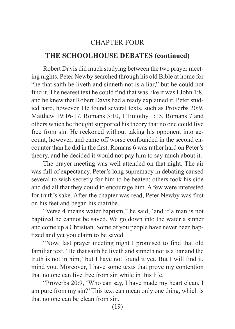## CHAPTER FOUR

## <span id="page-20-0"></span>**THE SCHOOLHOUSE DEBATES (continued)**

Robert Davis did much studying between the two prayer meeting nights. Peter Newby searched through his old Bible at home for "he that saith he liveth and sinneth not is a liar," but he could not find it. The nearest text he could find that was like it was I John 1:8, and he knew that Robert Davis had already explained it. Peter studied hard, however. He found several texts, such as Proverbs 20:9, Matthew 19:16-17, Romans 3:10, I Timothy 1:15, Romans 7 and others which he thought supported his theory that no one could live free from sin. He reckoned without taking his opponent into account, however, and came off worse confounded in the second encounter than he did in the first. Romans 6 was rather hard on Peter's theory, and he decided it would not pay him to say much about it.

The prayer meeting was well attended on that night. The air was full of expectancy. Peter's long supremacy in debating caused several to wish secretly for him to be beaten; others took his side and did all that they could to encourage him. A few were interested for truth's sake. After the chapter was read, Peter Newby was first on his feet and began his diatribe.

"Verse 4 means water baptism," he said, 'and if a man is not baptized he cannot be saved. We go down into the water a sinner and come up a Christian. Some of you people have never been baptized and yet you claim to be saved.

"Now, last prayer meeting night I promised to find that old familiar text, 'He that saith he liveth and sinneth not is a liar and the truth is not in him,' but I have not found it yet. But I will find it, mind you. Moreover, I have some texts that prove my contention that no one can live free from sin while in this life.

"Proverbs 20:9, 'Who can say, I have made my heart clean, I am pure from my sin?' This text can mean only one thing, which is that no one can be clean from sin.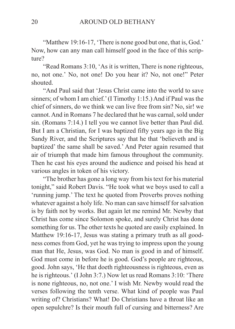"Matthew 19:16-17, 'There is none good but one, that is, God.' Now, how can any man call himself good in the face of this scripture?

"Read Romans 3:10, 'As it is written, There is none righteous, no, not one.' No, not one! Do you hear it? No, not one!" Peter shouted.

"And Paul said that 'Jesus Christ came into the world to save sinners; of whom I am chief.' (I Timothy 1:15.) And if Paul was the chief of sinners, do we think we can live free from sin? No, sir! we cannot. And in Romans 7 he declared that he was carnal, sold under sin. (Romans 7:14.) I tell you we cannot live better than Paul did. But I am a Christian, for I was baptized fifty years ago in the Big Sandy River, and the Scriptures say that he that 'believeth and is baptized' the same shall be saved.' And Peter again resumed that air of triumph that made him famous throughout the community. Then he cast his eyes around the audience and poised his head at various angles in token of his victory.

"The brother has gone a long way from his text for his material tonight," said Robert Davis. "He took what we boys used to call a 'running jump.' The text he quoted from Proverbs proves nothing whatever against a holy life. No man can save himself for salvation is by faith not by works. But again let me remind Mr. Newby that Christ has come since Solomon spoke, and surely Christ has done something for us. The other texts he quoted are easily explained. In Matthew 19:16-17, Jesus was stating a primary truth as all goodness comes from God, yet he was trying to impress upon the young man that He, Jesus, was God. No man is good in and of himself. God must come in before he is good. God's people are righteous, good. John says, 'He that doeth righteousness is righteous, even as he is righteous.' (I John 3:7.) Now let us read Romans 3:10: 'There is none righteous, no, not one.' I wish Mr. Newby would read the verses following the tenth verse. What kind of people was Paul writing of? Christians? What! Do Christians have a throat like an open sepulchre? Is their mouth full of cursing and bitterness? Are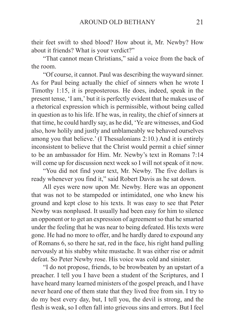their feet swift to shed blood? How about it, Mr. Newby? How about it friends? What is your verdict?"

"That cannot mean Christians," said a voice from the back of the room.

"Of course, it cannot. Paul was describing the wayward sinner. As for Paul being actually the chief of sinners when he wrote I Timothy 1:15, it is preposterous. He does, indeed, speak in the present tense, 'I am,' but it is perfectly evident that he makes use of a rhetorical expression which is permissible, without being called in question as to his life. If he was, in reality, the chief of sinners at that time, he could hardly say, as he did, 'Ye are witnesses, and God also, how holily and justly and unblameably we behaved ourselves among you that believe.' (I Thessalonians 2:10.) And it is entirely inconsistent to believe that the Christ would permit a chief sinner to be an ambassador for Him. Mr. Newby's text in Romans 7:14 will come up for discussion next week so I will not speak of it now.

"You did not find your text, Mr. Newby. The five dollars is ready whenever you find it," said Robert Davis as he sat down.

All eyes were now upon Mr. Newby. Here was an opponent that was not to be stampeded or intimidated, one who knew his ground and kept close to his texts. It was easy to see that Peter Newby was nonplused. It usually had been easy for him to silence an opponent or to get an expression of agreement so that he smarted under the feeling that he was near to being defeated. His texts were gone. He had no more to offer, and he hardly dared to expound any of Romans 6, so there he sat, red in the face, his right hand pulling nervously at his stubby white mustache. It was either rise or admit defeat. So Peter Newby rose. His voice was cold and sinister.

"I do not propose, friends, to be browbeaten by an upstart of a preacher. I tell you I have been a student of the Scriptures, and I have heard many learned ministers of the gospel preach, and I have never heard one of them state that they lived free from sin. I try to do my best every day, but, I tell you, the devil is strong, and the flesh is weak, so I often fall into grievous sins and errors. But I feel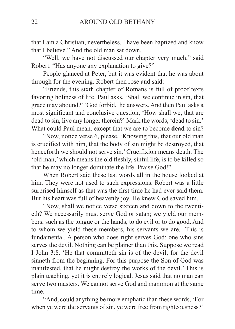that I am a Christian, nevertheless. I have been baptized and know that I believe." And the old man sat down.

"Well, we have not discussed our chapter very much," said Robert. "Has anyone any explanation to give?"

People glanced at Peter, but it was evident that he was about through for the evening. Robert then rose and said:

"Friends, this sixth chapter of Romans is full of proof texts favoring holiness of life. Paul asks, 'Shall we continue in sin, that grace may abound?' 'God forbid,' he answers. And then Paul asks a most significant and conclusive question, 'How shall we, that are dead to sin, live any longer therein?' Mark the words, 'dead to sin.' What could Paul mean, except that we are to become **dead** to sin?

"Now, notice verse 6, please, 'Knowing this, that our old man is crucified with him, that the body of sin might be destroyed, that henceforth we should not serve sin.' Crucifixion means death. The 'old man,' which means the old fleshly, sinful life, is to be killed so that he may no longer dominate the life. Praise God!"

When Robert said these last words all in the house looked at him. They were not used to such expressions. Robert was a little surprised himself as that was the first time he had ever said them. But his heart was full of heavenly joy. He knew God saved him.

"Now, shall we notice verse sixteen and down to the twentieth? We necessarily must serve God or satan; we yield our members, such as the tongue or the hands, to do evil or to do good. And to whom we yield these members, his servants we are. This is fundamental. A person who does right serves God; one who sins serves the devil. Nothing can be plainer than this. Suppose we read I John 3:8. 'He that committeth sin is of the devil; for the devil sinneth from the beginning. For this purpose the Son of God was manifested, that he might destroy the works of the devil.' This is plain teaching, yet it is entirely logical. Jesus said that no man can serve two masters. We cannot serve God and mammon at the same time.

"And, could anything be more emphatic than these words, 'For when ye were the servants of sin, ye were free from righteousness?'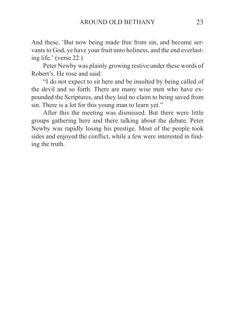And these, 'But now being made free from sin, and become servants to God, ye have your fruit unto holiness, and the end everlasting life.' (verse 22.)

Peter Newby was plainly growing restive under these words of Robert's. He rose and said:

"I do not expect to sit here and be insulted by being called of the devil and so forth. There are many wise men who have expounded the Scriptures, and they laid no claim to being saved from sin. There is a lot for this young man to learn yet."

After this the meeting was dismissed. But there were little groups gathering here and there talking about the debate. Peter Newby was rapidly losing his prestige. Most of the people took sides and enjoyed the conflict, while a few were interested in finding the truth.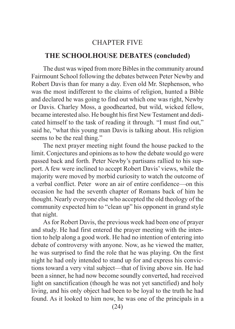#### CHAPTER FIVE

### <span id="page-25-0"></span>**THE SCHOOLHOUSE DEBATES (concluded)**

The dust was wiped from more Bibles in the community around Fairmount School following the debates between Peter Newby and Robert Davis than for many a day. Even old Mr. Stephenson, who was the most indifferent to the claims of religion, hunted a Bible and declared he was going to find out which one was right, Newby or Davis. Charley Moss, a goodhearted, but wild, wicked fellow, became interested also. He bought his first New Testament and dedicated himself to the task of reading it through. "I must find out," said he, "what this young man Davis is talking about. His religion seems to be the real thing."

The next prayer meeting night found the house packed to the limit. Conjectures and opinions as to how the debate would go were passed back and forth. Peter Newby's partisans rallied to his support. A few were inclined to accept Robert Davis' views, while the majority were moved by morbid curiosity to watch the outcome of a verbal conflict. Peter wore an air of entire confidence—on this occasion he had the seventh chapter of Romans back of him he thought. Nearly everyone else who accepted the old theology of the community expected him to "clean up" his opponent in grand style that night.

As for Robert Davis, the previous week had been one of prayer and study. He had first entered the prayer meeting with the intention to help along a good work. He had no intention of entering into debate of controversy with anyone. Now, as he viewed the matter, he was surprised to find the role that he was playing. On the first night he had only intended to stand up for and express his convictions toward a very vital subject—that of living above sin. He had been a sinner, he had now become soundly converted, had received light on sanctification (though he was not yet sanctified) and holy living, and his only object had been to be loyal to the truth he had found. As it looked to him now, he was one of the principals in a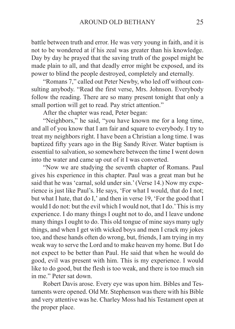battle between truth and error. He was very young in faith, and it is not to be wondered at if his zeal was greater than his knowledge. Day by day he prayed that the saving truth of the gospel might be made plain to all, and that deadly error might be exposed, and its power to blind the people destroyed, completely and eternally.

"Romans 7," called out Peter Newby, who led off without consulting anybody. "Read the first verse, Mrs. Johnson. Everybody follow the reading. There are so many present tonight that only a small portion will get to read. Pay strict attention."

After the chapter was read, Peter began:

"Neighbors," he said, "you have known me for a long time, and all of you know that I am fair and square to everybody. I try to treat my neighbors right. I have been a Christian a long time. I was baptized fifty years ago in the Big Sandy River. Water baptism is essential to salvation, so somewhere between the time I went down into the water and came up out of it I was converted.

"Now we are studying the seventh chapter of Romans. Paul gives his experience in this chapter. Paul was a great man but he said that he was 'carnal, sold under sin.' (Verse 14.) Now my experience is just like Paul's. He says, 'For what I would, that do I not; but what I hate, that do I,' and then in verse 19, 'For the good that I would I do not: but the evil which I would not, that I do.' This is my experience. I do many things I ought not to do, and I leave undone many things I ought to do. This old tongue of mine says many ugly things, and when I get with wicked boys and men I crack my jokes too, and these hands often do wrong, but, friends, I am trying in my weak way to serve the Lord and to make heaven my home. But I do not expect to be better than Paul. He said that when he would do good, evil was present with him. This is my experience. I would like to do good, but the flesh is too weak, and there is too much sin in me." Peter sat down.

Robert Davis arose. Every eye was upon him. Bibles and Testaments were opened. Old Mr. Stephenson was there with his Bible and very attentive was he. Charley Moss had his Testament open at the proper place.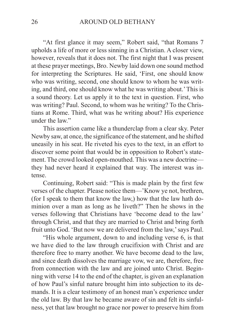"At first glance it may seem," Robert said, "that Romans 7 upholds a life of more or less sinning in a Christian. A closer view, however, reveals that it does not. The first night that I was present at these prayer meetings, Bro. Newby laid down one sound method for interpreting the Scriptures. He said, 'First, one should know who was writing, second, one should know to whom he was writing, and third, one should know what he was writing about.' This is a sound theory. Let us apply it to the text in question. First, who was writing? Paul. Second, to whom was he writing? To the Christians at Rome. Third, what was he writing about? His experience under the law."

This assertion came like a thunderclap from a clear sky. Peter Newby saw, at once, the significance of the statement, and he shifted uneasily in his seat. He riveted his eyes to the text, in an effort to discover some point that would be in opposition to Robert's statement. The crowd looked open-mouthed. This was a new doctrine they had never heard it explained that way. The interest was intense.

Continuing, Robert said: "This is made plain by the first few verses of the chapter. Please notice them—'Know ye not, brethren, (for I speak to them that know the law,) how that the law hath dominion over a man as long as he liveth?" Then he shows in the verses following that Christians have 'become dead to the law' through Christ, and that they are married to Christ and bring forth fruit unto God. 'But now we are delivered from the law,' says Paul.

"His whole argument, down to and including verse 6, is that we have died to the law through crucifixion with Christ and are therefore free to marry another. We have become dead to the law, and since death dissolves the marriage vow, we are, therefore, free from connection with the law and are joined unto Christ. Beginning with verse 14 to the end of the chapter, is given an explanation of how Paul's sinful nature brought him into subjection to its demands. It is a clear testimony of an honest man's experience under the old law. By that law he became aware of sin and felt its sinfulness, yet that law brought no grace nor power to preserve him from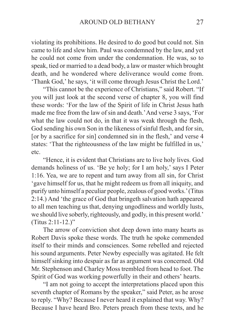violating its prohibitions. He desired to do good but could not. Sin came to life and slew him. Paul was condemned by the law, and yet he could not come from under the condemnation. He was, so to speak, tied or married to a dead body, a law or master which brought death, and he wondered where deliverance would come from. 'Thank God,' he says, 'it will come through Jesus Christ the Lord.'

"This cannot be the experience of Christians," said Robert. "If you will just look at the second verse of chapter 8, you will find these words: 'For the law of the Spirit of life in Christ Jesus hath made me free from the law of sin and death.' And verse 3 says, 'For what the law could not do, in that it was weak through the flesh, God sending his own Son in the likeness of sinful flesh, and for sin, [or by a sacrifice for sin] condemned sin in the flesh,' and verse 4 states: 'That the righteousness of the law might be fulfilled in us,' etc.

"Hence, it is evident that Christians are to live holy lives. God demands holiness of us. 'Be ye holy; for I am holy,' says I Peter 1:16. Yea, we are to repent and turn away from all sin, for Christ 'gave himself for us, that he might redeem us from all iniquity, and purify unto himself a peculiar people, zealous of good works.' (Titus 2:14.) And 'the grace of God that bringeth salvation hath appeared to all men teaching us that, denying ungodliness and worldly lusts, we should live soberly, righteously, and godly, in this present world.' (Titus 2:11-12.)"

The arrow of conviction shot deep down into many hearts as Robert Davis spoke these words. The truth he spoke commended itself to their minds and consciences. Some rebelled and rejected his sound arguments. Peter Newby especially was agitated. He felt himself sinking into despair as far as argument was concerned. Old Mr. Stephenson and Charley Moss trembled from head to foot. The Spirit of God was working powerfully in their and others' hearts.

"I am not going to accept the interpretations placed upon this seventh chapter of Romans by the speaker," said Peter, as he arose to reply. "Why? Because I never heard it explained that way. Why? Because I have heard Bro. Peters preach from these texts, and he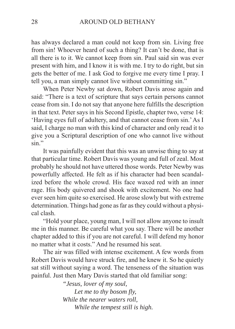has always declared a man could not keep from sin. Living free from sin! Whoever heard of such a thing? It can't be done, that is all there is to it. We cannot keep from sin. Paul said sin was ever present with him, and I know it is with me. I try to do right, but sin gets the better of me. I ask God to forgive me every time I pray. I tell you, a man simply cannot live without committing sin."

When Peter Newby sat down, Robert Davis arose again and said: "There is a text of scripture that says certain persons cannot cease from sin. I do not say that anyone here fulfills the description in that text. Peter says in his Second Epistle, chapter two, verse 14: 'Having eyes full of adultery, and that cannot cease from sin.' As I said, I charge no man with this kind of character and only read it to give you a Scriptural description of one who cannot live without sin."

It was painfully evident that this was an unwise thing to say at that particular time. Robert Davis was young and full of zeal. Most probably he should not have uttered those words. Peter Newby was powerfully affected. He felt as if his character had been scandalized before the whole crowd. His face waxed red with an inner rage. His body quivered and shook with excitement. No one had ever seen him quite so exercised. He arose slowly but with extreme determination. Things had gone as far as they could without a physical clash.

"Hold your place, young man, I will not allow anyone to insult me in this manner. Be careful what you say. There will be another chapter added to this if you are not careful. I will defend my honor no matter what it costs." And he resumed his seat.

The air was filled with intense excitement. A few words from Robert Davis would have struck fire, and he knew it. So he quietly sat still without saying a word. The tenseness of the situation was painful. Just then Mary Davis started that old familiar song:

> *"Jesus, lover of my soul, Let me to thy bosom fly, While the nearer waters roll, While the tempest still is high.*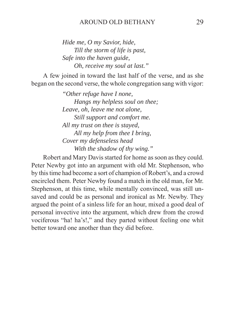#### AROUND OLD BETHANY 29

*Hide me, O my Savior, hide, Till the storm of life is past, Safe into the haven guide, Oh, receive my soul at last."*

A few joined in toward the last half of the verse, and as she began on the second verse, the whole congregation sang with vigor:

> *"Other refuge have I none, Hangs my helpless soul on thee; Leave, oh, leave me not alone, Still support and comfort me. All my trust on thee is stayed, All my help from thee I bring, Cover my defenseless head With the shadow of thy wing."*

Robert and Mary Davis started for home as soon as they could. Peter Newby got into an argument with old Mr. Stephenson, who by this time had become a sort of champion of Robert's, and a crowd encircled them. Peter Newby found a match in the old man, for Mr. Stephenson, at this time, while mentally convinced, was still unsaved and could be as personal and ironical as Mr. Newby. They argued the point of a sinless life for an hour, mixed a good deal of personal invective into the argument, which drew from the crowd vociferous "ha! ha's!," and they parted without feeling one whit better toward one another than they did before.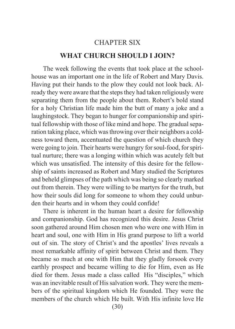#### CHAPTER SIX

### **WHAT CHURCH SHOULD I JOIN?**

<span id="page-31-0"></span>The week following the events that took place at the schoolhouse was an important one in the life of Robert and Mary Davis. Having put their hands to the plow they could not look back. Already they were aware that the steps they had taken religiously were separating them from the people about them. Robert's bold stand for a holy Christian life made him the butt of many a joke and a laughingstock. They began to hunger for companionship and spiritual fellowship with those of like mind and hope. The gradual separation taking place, which was throwing over their neighbors a coldness toward them, accentuated the question of which church they were going to join. Their hearts were hungry for soul-food, for spiritual nurture; there was a longing within which was acutely felt but which was unsatisfied. The intensity of this desire for the fellowship of saints increased as Robert and Mary studied the Scriptures and beheld glimpses of the path which was being so clearly marked out from therein. They were willing to be martyrs for the truth, but how their souls did long for someone to whom they could unburden their hearts and in whom they could confide!

There is inherent in the human heart a desire for fellowship and companionship. God has recognized this desire. Jesus Christ soon gathered around Him chosen men who were one with Him in heart and soul, one with Him in His grand purpose to lift a world out of sin. The story of Christ's and the apostles' lives reveals a most remarkable affinity of spirit between Christ and them. They became so much at one with Him that they gladly forsook every earthly prospect and became willing to die for Him, even as He died for them. Jesus made a class called His "disciples," which was an inevitable result of His salvation work. They were the members of the spiritual kingdom which He founded. They were the members of the church which He built. With His infinite love He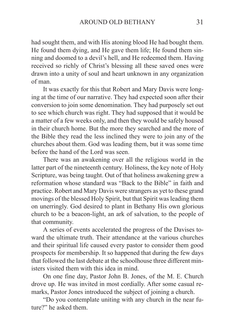had sought them, and with His atoning blood He had bought them. He found them dying, and He gave them life; He found them sinning and doomed to a devil's hell, and He redeemed them. Having received so richly of Christ's blessing all these saved ones were drawn into a unity of soul and heart unknown in any organization of man.

It was exactly for this that Robert and Mary Davis were longing at the time of our narrative. They had expected soon after their conversion to join some denomination. They had purposely set out to see which church was right. They had supposed that it would be a matter of a few weeks only, and then they would be safely housed in their church home. But the more they searched and the more of the Bible they read the less inclined they were to join any of the churches about them. God was leading them, but it was some time before the hand of the Lord was seen.

There was an awakening over all the religious world in the latter part of the nineteenth century. Holiness, the key note of Holy Scripture, was being taught. Out of that holiness awakening grew a reformation whose standard was "Back to the Bible" in faith and practice. Robert and Mary Davis were strangers as yet to these grand movings of the blessed Holy Spirit, but that Spirit was leading them on unerringly. God desired to plant in Bethany His own glorious church to be a beacon-light, an ark of salvation, to the people of that community.

A series of events accelerated the progress of the Davises toward the ultimate truth. Their attendance at the various churches and their spiritual life caused every pastor to consider them good prospects for membership. It so happened that during the few days that followed the last debate at the schoolhouse three different ministers visited them with this idea in mind.

On one fine day, Pastor John B. Jones, of the M. E. Church drove up. He was invited in most cordially. After some casual remarks, Pastor Jones introduced the subject of joining a church.

"Do you contemplate uniting with any church in the near future?" he asked them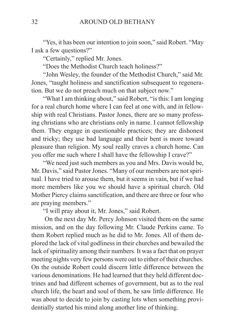"Yes, it has been our intention to join soon," said Robert. "May I ask a few questions?"

"Certainly," replied Mr. Jones.

"Does the Methodist Church teach holiness?"

"John Wesley, the founder of the Methodist Church," said Mr. Jones, "taught holiness and sanctification subsequent to regeneration. But we do not preach much on that subject now."

"What I am thinking about," said Robert, "is this: I am longing for a real church home where I can feel at one with, and in fellowship with real Christians. Pastor Jones, there are so many professing christians who are christians only in name. I cannot fellowship them. They engage in questionable practices; they are dishonest and tricky; they use bad language and their bent is more toward pleasure than religion. My soul really craves a church home. Can you offer me such where I shall have the fellowship I crave?"

"We need just such members as you and Mrs. Davis would be, Mr. Davis," said Pastor Jones. "Many of our members are not spiritual. I have tried to arouse them, but it seems in vain, but if we had more members like you we should have a spiritual church. Old Mother Piercy claims sanctification, and there are three or four who are praying members."

"I will pray about it, Mr. Jones," said Robert.

 On the next day Mr. Percy Johnson visited them on the same mission, and on the day following Mr. Claude Perkins came. To them Robert replied much as he did to Mr. Jones. All of them deplored the lack of vital godliness in their churches and bewailed the lack of spirituality among their numbers. It was a fact that on prayer meeting nights very few persons were out to either of their churches. On the outside Robert could discern little difference between the various denominations. He had learned that they held different doctrines and had different schemes of government, but as to the real church life, the heart and soul of them, he saw little difference. He was about to decide to join by casting lots when something providentially started his mind along another line of thinking.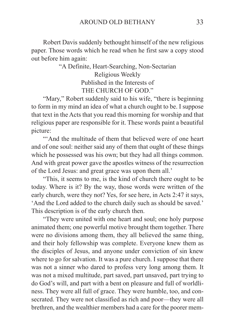Robert Davis suddenly bethought himself of the new religious paper. Those words which he read when he first saw a copy stood out before him again:

> "A Definite, Heart-Searching, Non-Sectarian Religious Weekly Published in the Interests of THE CHURCH OF GOD."

"Mary," Robert suddenly said to his wife, "there is beginning" to form in my mind an idea of what a church ought to be. I suppose that text in the Acts that you read this morning for worship and that religious paper are responsible for it. These words paint a beautiful picture:

"'And the multitude of them that believed were of one heart and of one soul: neither said any of them that ought of these things which he possessed was his own; but they had all things common. And with great power gave the apostles witness of the resurrection of the Lord Jesus: and great grace was upon them all.'

"This, it seems to me, is the kind of church there ought to be today. Where is it? By the way, those words were written of the early church, were they not? Yes, for see here, in Acts 2:47 it says, 'And the Lord added to the church daily such as should be saved.' This description is of the early church then.

"They were united with one heart and soul; one holy purpose animated them; one powerful motive brought them together. There were no divisions among them, they all believed the same thing, and their holy fellowship was complete. Everyone knew them as the disciples of Jesus, and anyone under conviction of sin knew where to go for salvation. It was a pure church. I suppose that there was not a sinner who dared to profess very long among them. It was not a mixed multitude, part saved, part unsaved, part trying to do God's will, and part with a bent on pleasure and full of worldliness. They were all full of grace. They were humble, too, and consecrated. They were not classified as rich and poor—they were all brethren, and the wealthier members had a care for the poorer mem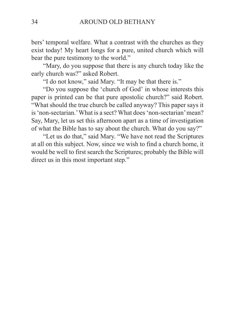bers' temporal welfare. What a contrast with the churches as they exist today! My heart longs for a pure, united church which will bear the pure testimony to the world."

"Mary, do you suppose that there is any church today like the early church was?" asked Robert.

"I do not know," said Mary. "It may be that there is."

"Do you suppose the 'church of God' in whose interests this paper is printed can be that pure apostolic church?" said Robert. "What should the true church be called anyway? This paper says it is 'non-sectarian.' What is a sect? What does 'non-sectarian' mean? Say, Mary, let us set this afternoon apart as a time of investigation of what the Bible has to say about the church. What do you say?"

"Let us do that," said Mary. "We have not read the Scriptures at all on this subject. Now, since we wish to find a church home, it would be well to first search the Scriptures; probably the Bible will direct us in this most important step."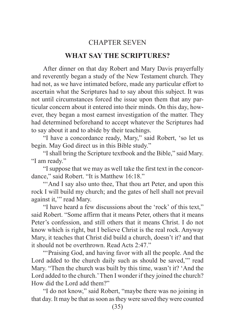## CHAPTER SEVEN

#### **WHAT SAY THE SCRIPTURES?**

After dinner on that day Robert and Mary Davis prayerfully and reverently began a study of the New Testament church. They had not, as we have intimated before, made any particular effort to ascertain what the Scriptures had to say about this subject. It was not until circumstances forced the issue upon them that any particular concern about it entered into their minds. On this day, however, they began a most earnest investigation of the matter. They had determined beforehand to accept whatever the Scriptures had to say about it and to abide by their teachings.

"I have a concordance ready, Mary," said Robert, 'so let us begin. May God direct us in this Bible study."

"I shall bring the Scripture textbook and the Bible," said Mary. "I am ready."

"I suppose that we may as well take the first text in the concordance," said Robert. "It is Matthew 16:18."

"'And I say also unto thee, That thou art Peter, and upon this rock I will build my church; and the gates of hell shall not prevail against it,'" read Mary.

"I have heard a few discussions about the 'rock' of this text," said Robert. "Some affirm that it means Peter, others that it means Peter's confession, and still others that it means Christ. I do not know which is right, but I believe Christ is the real rock. Anyway Mary, it teaches that Christ did build a church, doesn't it? and that it should not be overthrown. Read Acts 2:47."

"'Praising God, and having favor with all the people. And the Lord added to the church daily such as should be saved,'" read Mary. "Then the church was built by this time, wasn't it? 'And the Lord added to the church.' Then I wonder if they joined the church? How did the Lord add them?"

"I do not know," said Robert, "maybe there was no joining in that day. It may be that as soon as they were saved they were counted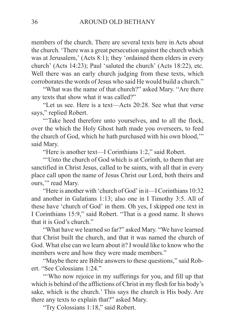members of the church. There are several texts here in Acts about the church. 'There was a great persecution against the church which was at Jerusalem,' (Acts 8:1); they 'ordained them elders in every church' (Acts 14:23); Paul 'saluted the church' (Acts 18:22), etc. Well there was an early church judging from these texts, which corroborates the words of Jesus who said He would build a church."

"What was the name of that church?" asked Mary. "Are there any texts that show what it was called?"

"Let us see. Here is a text—Acts 20:28. See what that verse says," replied Robert.

"'Take heed therefore unto yourselves, and to all the flock, over the which the Holy Ghost hath made you overseers, to feed the church of God, which he hath purchased with his own blood,'" said Mary.

"Here is another text—I Corinthians 1:2," said Robert.

"'Unto the church of God which is at Corinth, to them that are sanctified in Christ Jesus, called to be saints, with all that in every place call upon the name of Jesus Christ our Lord, both theirs and ours," read Mary.

"Here is another with 'church of God' in it—I Corinthians 10:32 and another in Galatians 1:13; also one in I Timothy 3:5. All of these have 'church of God' in them. Oh yes, I skipped one text in I Corinthians 15:9," said Robert. "That is a good name. It shows that it is God's church."

"What have we learned so far?" asked Mary. "We have learned that Christ built the church, and that it was named the church of God. What else can we learn about it? I would like to know who the members were and how they were made members."

"Maybe there are Bible answers to these questions," said Robert. "See Colossians 1:24."

"Who now rejoice in my sufferings for you, and fill up that which is behind of the afflictions of Christ in my flesh for his body's sake, which is the church.' This says the church is His body. Are there any texts to explain that?" asked Mary.

"Try Colossians 1:18," said Robert.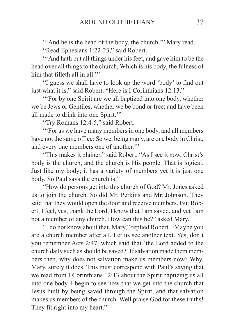"'And he is the head of the body, the church." Mary read.

"Read Ephesians 1:22-23," said Robert.

"'And hath put all things under his feet, and gave him to be the head over all things to the church, Which is his body, the fulness of him that filleth all in all.""

"I guess we shall have to look up the word 'body' to find out just what it is," said Robert. "Here is I Corinthians 12:13."

"'For by one Spirit are we all baptized into one body, whether we be Jews or Gentiles, whether we be bond or free; and have been all made to drink into one Spirit.'"

"Try Romans 12:4-5," said Robert.

"'For as we have many members in one body, and all members have not the same office: So we, being many, are one body in Christ, and every one members one of another.'"

"This makes it plainer," said Robert. "As I see it now, Christ's body is the church, and the church is His people. That is logical. Just like my body; it has a variety of members yet it is just one body. So Paul says the church is."

"How do persons get into this church of God? Mr. Jones asked us to join the church. So did Mr. Perkins and Mr. Johnson. They said that they would open the door and receive members. But Robert, I feel, yes, thank the Lord, I know that I am saved, and yet I am not a member of any church. How can this be?" asked Mary.

"I do not know about that, Mary," replied Robert. "Maybe you are a church member after all. Let us see another text. Yes, don't you remember Acts 2:47, which said that 'the Lord added to the church daily such as should be saved?' If salvation made them members then, why does not salvation make us members now? Why, Mary, surely it does. This must correspond with Paul's saying that we read from I Corinthians 12:13 about the Spirit baptizing us all into one body. I begin to see now that we get into the church that Jesus built by being saved through the Spirit, and that salvation makes us members of the church. Well praise God for these truths! They fit right into my heart."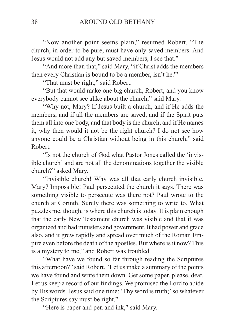"Now another point seems plain," resumed Robert, "The church, in order to be pure, must have only saved members. And Jesus would not add any but saved members, I see that."

"And more than that," said Mary, "if Christ adds the members then every Christian is bound to be a member, isn't he?"

"That must be right," said Robert.

"But that would make one big church, Robert, and you know everybody cannot see alike about the church," said Mary.

"Why not, Mary? If Jesus built a church, and if He adds the members, and if all the members are saved, and if the Spirit puts them all into one body, and that body is the church, and if He names it, why then would it not be the right church? I do not see how anyone could be a Christian without being in this church," said Robert.

"Is not the church of God what Pastor Jones called the 'invisible church' and are not all the denominations together the visible church?" asked Mary.

"Invisible church! Why was all that early church invisible, Mary? Impossible! Paul persecuted the church it says. There was something visible to persecute was there not? Paul wrote to the church at Corinth. Surely there was something to write to. What puzzles me, though, is where this church is today. It is plain enough that the early New Testament church was visible and that it was organized and had ministers and government. It had power and grace also, and it grew rapidly and spread over much of the Roman Empire even before the death of the apostles. But where is it now? This is a mystery to me," and Robert was troubled.

"What have we found so far through reading the Scriptures this afternoon?" said Robert. "Let us make a summary of the points we have found and write them down. Get some paper, please, dear. Let us keep a record of our findings. We promised the Lord to abide by His words. Jesus said one time: 'Thy word is truth;' so whatever the Scriptures say must be right."

"Here is paper and pen and ink," said Mary.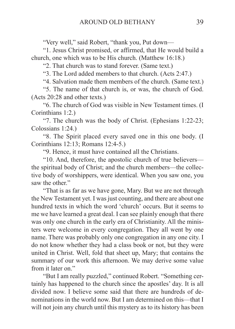"Very well," said Robert, "thank you, Put down—

"1. Jesus Christ promised, or affirmed, that He would build a church, one which was to be His church. (Matthew 16:18.)

"2. That church was to stand forever. (Same text.)

"3. The Lord added members to that church. (Acts 2:47.)

"4. Salvation made them members of the church. (Same text.)

"5. The name of that church is, or was, the church of God. (Acts 20:28 and other texts.)

"6. The church of God was visible in New Testament times. (I Corinthians 1:2.)

"7. The church was the body of Christ. (Ephesians 1:22-23; Colossians 1:24.)

"8. The Spirit placed every saved one in this one body. (I Corinthians 12:13; Romans 12:4-5.)

"9. Hence, it must have contained all the Christians.

"10. And, therefore, the apostolic church of true believers the spiritual body of Christ; and the church members—the collective body of worshippers, were identical. When you saw one, you saw the other."

"That is as far as we have gone, Mary. But we are not through the New Testament yet. I was just counting, and there are about one hundred texts in which the word 'church' occurs. But it seems to me we have learned a great deal. I can see plainly enough that there was only one church in the early era of Christianity. All the ministers were welcome in every congregation. They all went by one name. There was probably only one congregation in any one city. I do not know whether they had a class book or not, but they were united in Christ. Well, fold that sheet up, Mary; that contains the summary of our work this afternoon. We may derive some value from it later on."

"But I am really puzzled," continued Robert. "Something certainly has happened to the church since the apostles' day. It is all divided now. I believe some said that there are hundreds of denominations in the world now. But I am determined on this—that I will not join any church until this mystery as to its history has been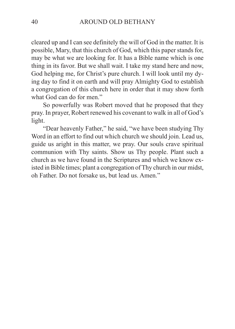cleared up and I can see definitely the will of God in the matter. It is possible, Mary, that this church of God, which this paper stands for, may be what we are looking for. It has a Bible name which is one thing in its favor. But we shall wait. I take my stand here and now, God helping me, for Christ's pure church. I will look until my dying day to find it on earth and will pray Almighty God to establish a congregation of this church here in order that it may show forth what God can do for men."

So powerfully was Robert moved that he proposed that they pray. In prayer, Robert renewed his covenant to walk in all of God's light.

"Dear heavenly Father," he said, "we have been studying Thy Word in an effort to find out which church we should join. Lead us, guide us aright in this matter, we pray. Our souls crave spiritual communion with Thy saints. Show us Thy people. Plant such a church as we have found in the Scriptures and which we know existed in Bible times; plant a congregation of Thy church in our midst, oh Father. Do not forsake us, but lead us. Amen."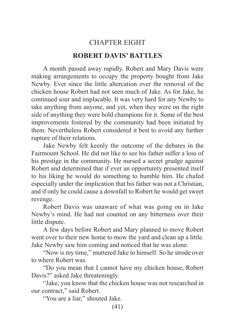# CHAPTER EIGHT **ROBERT DAVIS' BATTLES**

A month passed away rapidly. Robert and Mary Davis were making arrangements to occupy the property bought from Jake Newby. Ever since the little altercation over the removal of the chicken house Robert had not seen much of Jake. As for Jake, he continued sour and implacable. It was very hard for any Newby to take anything from anyone, and yet, when they were on the right side of anything they were bold champions for it. Some of the best improvements fostered by the community had been initiated by them. Nevertheless Robert considered it best to avoid any further rupture of their relations.

Jake Newby felt keenly the outcome of the debates in the Fairmount School. He did not like to see his father suffer a loss of his prestige in the community. He nursed a secret grudge against Robert and determined that if ever an opportunity presented itself to his liking he would do something to humble him. He chafed especially under the implication that his father was not a Christian, and if only he could cause a downfall to Robert he would get sweet revenge.

Robert Davis was unaware of what was going on in Jake Newby's mind. He had not counted on any bitterness over their little dispute.

A few days before Robert and Mary planned to move Robert went over to their new home to mow the yard and clean up a little. Jake Newby saw him coming and noticed that he was alone.

"Now is my time," muttered Jake to himself. So he strode over to where Robert was.

"Do you mean that I cannot have my chicken house, Robert Davis?" asked Jake threateningly.

"Jake, you know that the chicken house was not researched in our contract," said Robert.

"You are a liar," shouted Jake.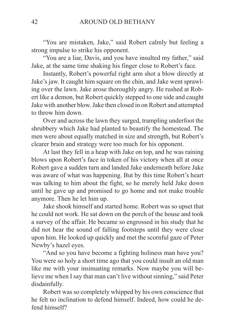"You are mistaken, Jake," said Robert calmly but feeling a strong impulse to strike his opponent.

"You are a liar, Davis, and you have insulted my father," said Jake, at the same time shaking his finger close to Robert's face.

Instantly, Robert's powerful right arm shot a blow directly at Jake's jaw. It caught him square on the chin, and Jake went sprawling over the lawn. Jake arose thoroughly angry. He rushed at Robert like a demon, but Robert quickly stepped to one side and caught Jake with another blow. Jake then closed in on Robert and attempted to throw him down.

Over and across the lawn they surged, trampling underfoot the shrubbery which Jake had planted to beautify the homestead. The men were about equally matched in size and strength, but Robert's clearer brain and strategy were too much for his opponent.

At last they fell in a heap with Jake on top, and he was raining blows upon Robert's face in token of his victory when all at once Robert gave a sudden turn and landed Jake underneath before Jake was aware of what was happening. But by this time Robert's heart was talking to him about the fight, so he merely held Jake down until he gave up and promised to go home and not make trouble anymore. Then he let him up.

Jake shook himself and started home. Robert was so upset that he could not work. He sat down on the porch of the house and took a survey of the affair. He became so engrossed in his study that he did not hear the sound of falling footsteps until they were close upon him. He looked up quickly and met the scornful gaze of Peter Newby's hazel eyes.

"And so you have become a fighting holiness man have you? You were so holy a short time ago that you could insult an old man like me with your insinuating remarks. Now maybe you will believe me when I say that man can't live without sinning," said Peter disdainfully.

Robert was so completely whipped by his own conscience that he felt no inclination to defend himself. Indeed, how could he defend himself?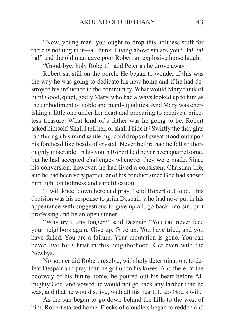"Now, young man, you ought to drop this holiness stuff for there is nothing in it—all bunk. Living above sin are you? Ha! ha! ha!" and the old man gave poor Robert an explosive horse laugh.

"Good-bye, holy Robert," said Peter as he drove away.

Robert sat still on the porch. He began to wonder if this was the way he was going to dedicate his new home and if he had destroyed his influence in the community. What would Mary think of him! Good, quiet, godly Mary, who had always looked up to him as the embodiment of noble and manly qualities. And Mary was cherishing a little one under her heart and preparing to receive a priceless treasure. What kind of a father was he going to be, Robert asked himself. Shall I tell her, or shall I hide it? Swiftly the thoughts ran through his mind while big, cold drops of sweat stood out upon his forehead like beads of crystal. Never before had he felt so thoroughly miserable. In his youth Robert had never been quarrelsome, but he had accepted challenges whenever they were made. Since his conversion, however, he had lived a consistent Christian life, and he had been very particular of his conduct since God had shown him light on holiness and sanctification.

"I will kneel down here and pray," said Robert out loud. This decision was his response to grim Despair, who had now put in his appearance with suggestions to give up all, go back into sin, quit professing and be an open sinner.

"Why try it any longer?" said Despair. "You can never face your neighbors again. Give up. Give up. You have tried, and you have failed. You are a failure. Your reputation is gone. You can never live for Christ in this neighborhood. Get even with the Newbys."

No sooner did Robert resolve, with holy determination, to defeat Despair and pray than he got upon his knees. And there, at the doorway of his future home, he poured out his heart before Almighty God, and vowed he would not go back any farther than he was, and that he would strive, with all his heart, to do God's will.

As the sun began to go down behind the hills to the west of him, Robert started home. Flecks of cloudlets began to redden and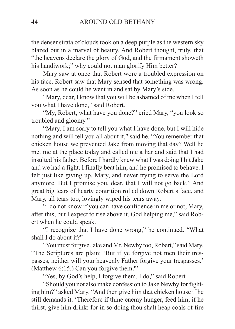the denser strata of clouds took on a deep purple as the western sky blazed out in a marvel of beauty. And Robert thought, truly, that "the heavens declare the glory of God, and the firmament showeth his handiwork;" why could not man glorify Him better?

Mary saw at once that Robert wore a troubled expression on his face. Robert saw that Mary sensed that something was wrong. As soon as he could he went in and sat by Mary's side.

"Mary, dear, I know that you will be ashamed of me when I tell you what I have done," said Robert.

"My, Robert, what have you done?" cried Mary, "you look so troubled and gloomy."

"Mary, I am sorry to tell you what I have done, but I will hide nothing and will tell you all about it," said he. "You remember that chicken house we prevented Jake from moving that day? Well he met me at the place today and called me a liar and said that I had insulted his father. Before I hardly knew what I was doing I hit Jake and we had a fight. I finally beat him, and he promised to behave. I felt just like giving up, Mary, and never trying to serve the Lord anymore. But I promise you, dear, that I will not go back." And great big tears of hearty contrition rolled down Robert's face, and Mary, all tears too, lovingly wiped his tears away.

"I do not know if you can have confidence in me or not, Mary, after this, but I expect to rise above it, God helping me," said Robert when he could speak.

"I recognize that I have done wrong," he continued. "What shall I do about it?"

"You must forgive Jake and Mr. Newby too, Robert," said Mary. "The Scriptures are plain: 'But if ye forgive not men their trespasses, neither will your heavenly Father forgive your trespasses.' (Matthew 6:15.) Can you forgive them?"

"Yes, by God's help, I forgive them. I do," said Robert.

"Should you not also make confession to Jake Newby for fighting him?" asked Mary. "And then give him that chicken house if he still demands it. 'Therefore if thine enemy hunger, feed him; if he thirst, give him drink: for in so doing thou shalt heap coals of fire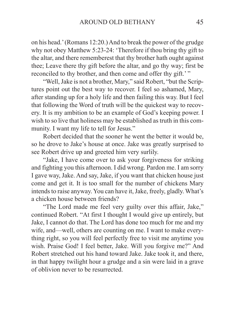on his head.' (Romans 12:20.) And to break the power of the grudge why not obey Matthew 5:23-24: 'Therefore if thou bring thy gift to the altar, and there rememberest that thy brother hath ought against thee; Leave there thy gift before the altar, and go thy way; first be reconciled to thy brother, and then come and offer thy gift.'"

"Well, Jake is not a brother, Mary," said Robert, "but the Scriptures point out the best way to recover. I feel so ashamed, Mary, after standing up for a holy life and then failing this way. But I feel that following the Word of truth will be the quickest way to recovery. It is my ambition to be an example of God's keeping power. I wish to so live that holiness may be established as truth in this community. I want my life to tell for Jesus."

Robert decided that the sooner he went the better it would be, so he drove to Jake's house at once. Jake was greatly surprised to see Robert drive up and greeted him very surlily.

"Jake, I have come over to ask your forgiveness for striking and fighting you this afternoon. I did wrong. Pardon me. I am sorry I gave way, Jake. And say, Jake, if you want that chicken house just come and get it. It is too small for the number of chickens Mary intends to raise anyway. You can have it, Jake, freely, gladly. What's a chicken house between friends?

"The Lord made me feel very guilty over this affair, Jake," continued Robert. "At first I thought I would give up entirely, but Jake, I cannot do that. The Lord has done too much for me and my wife, and—well, others are counting on me. I want to make everything right, so you will feel perfectly free to visit me anytime you wish. Praise God! I feel better, Jake. Will you forgive me?" And Robert stretched out his hand toward Jake. Jake took it, and there, in that happy twilight hour a grudge and a sin were laid in a grave of oblivion never to be resurrected.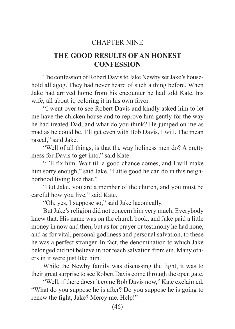## CHAPTER NINE

# **THE GOOD RESULTS OF AN HONEST CONFESSION**

The confession of Robert Davis to Jake Newby set Jake's household all agog. They had never heard of such a thing before. When Jake had arrived home from his encounter he had told Kate, his wife, all about it, coloring it in his own favor.

"I went over to see Robert Davis and kindly asked him to let me have the chicken house and to reprove him gently for the way he had treated Dad, and what do you think? He jumped on me as mad as he could be. I'll get even with Bob Davis, I will. The mean rascal," said Jake.

"Well of all things, is that the way holiness men do? A pretty mess for Davis to get into," said Kate.

"I'll fix him. Wait till a good chance comes, and I will make him sorry enough," said Jake. "Little good he can do in this neighborhood living like that."

"But Jake, you are a member of the church, and you must be careful how you live," said Kate.

"Oh, yes, I suppose so," said Jake laconically.

But Jake's religion did not concern him very much. Everybody knew that. His name was on the church book, and Jake paid a little money in now and then, but as for prayer or testimony he had none, and as for vital, personal godliness and personal salvation, to these he was a perfect stranger. In fact, the denomination to which Jake belonged did not believe in nor teach salvation from sin. Many others in it were just like him.

While the Newby family was discussing the fight, it was to their great surprise to see Robert Davis come through the open gate.

"Well, if there doesn't come Bob Davis now," Kate exclaimed. "What do you suppose he is after? Do you suppose he is going to renew the fight, Jake? Mercy me. Help!"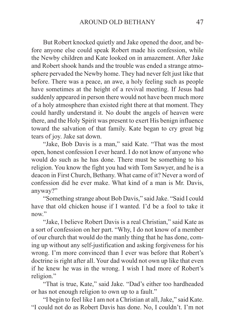But Robert knocked quietly and Jake opened the door, and before anyone else could speak Robert made his confession, while the Newby children and Kate looked on in amazement. After Jake and Robert shook hands and the trouble was ended a strange atmosphere pervaded the Newby home. They had never felt just like that before. There was a peace, an awe, a holy feeling such as people have sometimes at the height of a revival meeting. If Jesus had suddenly appeared in person there would not have been much more of a holy atmosphere than existed right there at that moment. They could hardly understand it. No doubt the angels of heaven were there, and the Holy Spirit was present to exert His benign influence toward the salvation of that family. Kate began to cry great big tears of joy. Jake sat down.

"Jake, Bob Davis is a man," said Kate. "That was the most open, honest confession I ever heard. I do not know of anyone who would do such as he has done. There must be something to his religion. You know the fight you had with Tom Sawyer, and he is a deacon in First Church, Bethany. What came of it? Never a word of confession did he ever make. What kind of a man is Mr. Davis, anyway?"

"Something strange about Bob Davis," said Jake. "Said I could have that old chicken house if I wanted. I'd be a fool to take it now"

"Jake, I believe Robert Davis is a real Christian," said Kate as a sort of confession on her part. "Why, I do not know of a member of our church that would do the manly thing that he has done, coming up without any self-justification and asking forgiveness for his wrong. I'm more convinced than I ever was before that Robert's doctrine is right after all. Your dad would not own up like that even if he knew he was in the wrong. I wish I had more of Robert's religion."

"That is true, Kate," said Jake. "Dad's either too hardheaded or has not enough religion to own up to a fault."

"I begin to feel like I am not a Christian at all, Jake," said Kate. "I could not do as Robert Davis has done. No, I couldn't. I'm not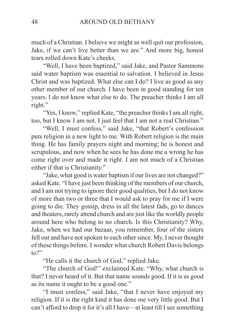much of a Christian. I believe we might as well quit our profession, Jake, if we can't live better than we are." And more big, honest tears rolled down Kate's cheeks.

"Well, I have been baptized," said Jake, and Pastor Sammons said water baptism was essential to salvation. I believed in Jesus Christ and was baptized. What else can I do? I live as good as any other member of our church. I have been in good standing for ten years. I do not know what else to do. The preacher thinks I am all right."

"Yes, I know," replied Kate, "the preacher thinks I am all right, too, but I know I am not. I just feel that I am not a real Christian."

"Well, I must confess," said Jake, "that Robert's confession puts religion in a new light to me. With Robert religion is the main thing. He has family prayers night and morning; he is honest and scrupulous, and now when he sees he has done me a wrong he has come right over and made it right. I am not much of a Christian either if that is Christianity."

"Jake, what good is water baptism if our lives are not changed?" asked Kate. "I have just been thinking of the members of our church, and I am not trying to ignore their good qualities, but I do not know of more than two or three that I would ask to pray for me if I were going to die. They gossip, dress in all the latest fads, go to dances and theaters, rarely attend church and are just like the worldly people around here who belong to no church. Is this Christianity? Why, Jake, when we had our bazaar, you remember, four of the sisters fell out and have not spoken to each other since. My, I never thought of these things before. I wonder what church Robert Davis belongs  $to?$ "

"He calls it the church of God," replied Jake.

"The church of God!" exclaimed Kate. "Why, what church is that? I never heard of it. But that name sounds good. If it is as good as its name it ought to be a good one."

"I must confess," said Jake, "that I never have enjoyed my religion. If it is the right kind it has done me very little good. But I can't afford to drop it for it's all I have—at least till I see something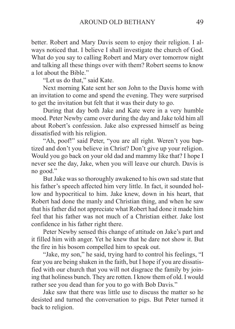better. Robert and Mary Davis seem to enjoy their religion. I always noticed that. I believe I shall investigate the church of God. What do you say to calling Robert and Mary over tomorrow night and talking all these things over with them? Robert seems to know a lot about the Bible."

"Let us do that," said Kate.

Next morning Kate sent her son John to the Davis home with an invitation to come and spend the evening. They were surprised to get the invitation but felt that it was their duty to go.

During that day both Jake and Kate were in a very humble mood. Peter Newby came over during the day and Jake told him all about Robert's confession. Jake also expressed himself as being dissatisfied with his religion.

"Ah, poof!" said Peter, "you are all right. Weren't you baptized and don't you believe in Christ? Don't give up your religion. Would you go back on your old dad and mammy like that? I hope I never see the day, Jake, when you will leave our church. Davis is no good."

But Jake was so thoroughly awakened to his own sad state that his father's speech affected him very little. In fact, it sounded hollow and hypocritical to him. Jake knew, down in his heart, that Robert had done the manly and Christian thing, and when he saw that his father did not appreciate what Robert had done it made him feel that his father was not much of a Christian either. Jake lost confidence in his father right there.

Peter Newby sensed this change of attitude on Jake's part and it filled him with anger. Yet he knew that he dare not show it. But the fire in his bosom compelled him to speak out.

"Jake, my son," he said, trying hard to control his feelings, "I fear you are being shaken in the faith, but I hope if you are dissatisfied with our church that you will not disgrace the family by joining that holiness bunch. They are rotten. I know them of old. I would rather see you dead than for you to go with Bob Davis."

Jake saw that there was little use to discuss the matter so he desisted and turned the conversation to pigs. But Peter turned it back to religion.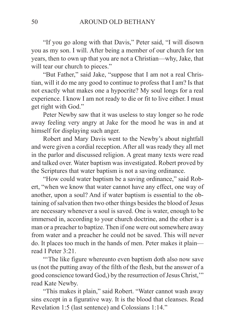"If you go along with that Davis," Peter said, "I will disown you as my son. I will. After being a member of our church for ten years, then to own up that you are not a Christian—why, Jake, that will tear our church to pieces."

"But Father," said Jake, "suppose that I am not a real Christian, will it do me any good to continue to profess that I am? Is that not exactly what makes one a hypocrite? My soul longs for a real experience. I know I am not ready to die or fit to live either. I must get right with God."

Peter Newby saw that it was useless to stay longer so he rode away feeling very angry at Jake for the mood he was in and at himself for displaying such anger.

Robert and Mary Davis went to the Newby's about nightfall and were given a cordial reception. After all was ready they all met in the parlor and discussed religion. A great many texts were read and talked over. Water baptism was investigated. Robert proved by the Scriptures that water baptism is not a saving ordinance.

"How could water baptism be a saving ordinance," said Robert, "when we know that water cannot have any effect, one way of another, upon a soul? And if water baptism is essential to the obtaining of salvation then two other things besides the blood of Jesus are necessary whenever a soul is saved. One is water, enough to be immersed in, according to your church doctrine, and the other is a man or a preacher to baptize. Then if one were out somewhere away from water and a preacher he could not be saved. This will never do. It places too much in the hands of men. Peter makes it plain read I Peter 3:21.

"The like figure whereunto even baptism doth also now save us (not the putting away of the filth of the flesh, but the answer of a good conscience toward God,) by the resurrection of Jesus Christ,'" read Kate Newby.

"This makes it plain," said Robert. "Water cannot wash away sins except in a figurative way. It is the blood that cleanses. Read Revelation 1:5 (last sentence) and Colossians 1:14."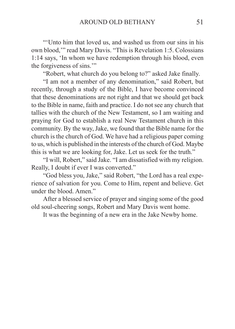"'Unto him that loved us, and washed us from our sins in his own blood,'" read Mary Davis. "This is Revelation 1:5. Colossians 1:14 says, 'In whom we have redemption through his blood, even the forgiveness of sins.'"

"Robert, what church do you belong to?" asked Jake finally.

"I am not a member of any denomination," said Robert, but recently, through a study of the Bible, I have become convinced that these denominations are not right and that we should get back to the Bible in name, faith and practice. I do not see any church that tallies with the church of the New Testament, so I am waiting and praying for God to establish a real New Testament church in this community. By the way, Jake, we found that the Bible name for the church is the church of God. We have had a religious paper coming to us, which is published in the interests of the church of God. Maybe this is what we are looking for, Jake. Let us seek for the truth."

"I will, Robert," said Jake. "I am dissatisfied with my religion. Really, I doubt if ever I was converted."

"God bless you, Jake," said Robert, "the Lord has a real experience of salvation for you. Come to Him, repent and believe. Get under the blood. Amen."

After a blessed service of prayer and singing some of the good old soul-cheering songs, Robert and Mary Davis went home.

It was the beginning of a new era in the Jake Newby home.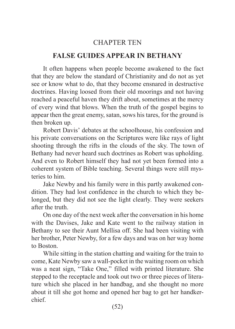# CHAPTER TEN

## **FALSE GUIDES APPEAR IN BETHANY**

It often happens when people become awakened to the fact that they are below the standard of Christianity and do not as yet see or know what to do, that they become ensnared in destructive doctrines. Having loosed from their old moorings and not having reached a peaceful haven they drift about, sometimes at the mercy of every wind that blows. When the truth of the gospel begins to appear then the great enemy, satan, sows his tares, for the ground is then broken up.

Robert Davis' debates at the schoolhouse, his confession and his private conversations on the Scriptures were like rays of light shooting through the rifts in the clouds of the sky. The town of Bethany had never heard such doctrines as Robert was upholding. And even to Robert himself they had not yet been formed into a coherent system of Bible teaching. Several things were still mysteries to him.

Jake Newby and his family were in this partly awakened condition. They had lost confidence in the church to which they belonged, but they did not see the light clearly. They were seekers after the truth.

On one day of the next week after the conversation in his home with the Davises, Jake and Kate went to the railway station in Bethany to see their Aunt Mellisa off. She had been visiting with her brother, Peter Newby, for a few days and was on her way home to Boston.

While sitting in the station chatting and waiting for the train to come, Kate Newby saw a wall-pocket in the waiting room on which was a neat sign, "Take One," filled with printed literature. She stepped to the receptacle and took out two or three pieces of literature which she placed in her handbag, and she thought no more about it till she got home and opened her bag to get her handkerchief.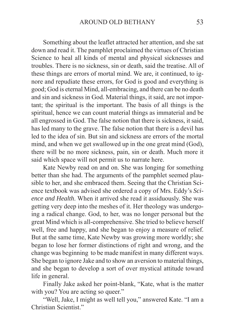Something about the leaflet attracted her attention, and she sat down and read it. The pamphlet proclaimed the virtues of Christian Science to heal all kinds of mental and physical sicknesses and troubles. There is no sickness, sin or death, said the treatise. All of these things are errors of mortal mind. We are, it continued, to ignore and repudiate these errors, for God is good and everything is good; God is eternal Mind, all-embracing, and there can be no death and sin and sickness in God. Material things, it said, are not important; the spiritual is the important. The basis of all things is the spiritual, hence we can count material things as immaterial and be all engrossed in God. The false notion that there is sickness, it said, has led many to the grave. The false notion that there is a devil has led to the idea of sin. But sin and sickness are errors of the mortal mind, and when we get swallowed up in the one great mind (God), there will be no more sickness, pain, sin or death. Much more it said which space will not permit us to narrate here.

Kate Newby read on and on. She was longing for something better than she had. The arguments of the pamphlet seemed plausible to her, and she embraced them. Seeing that the Christian Science textbook was advised she ordered a copy of Mrs. Eddy's *Science and Health*. When it arrived she read it assiduously. She was getting very deep into the meshes of it. Her theology was undergoing a radical change. God, to her, was no longer personal but the great Mind which is all-comprehensive. She tried to believe herself well, free and happy, and she began to enjoy a measure of relief. But at the same time, Kate Newby was growing more worldly; she began to lose her former distinctions of right and wrong, and the change was beginning to be made manifest in many different ways. She began to ignore Jake and to show an aversion to material things, and she began to develop a sort of over mystical attitude toward life in general.

Finally Jake asked her point-blank, "Kate, what is the matter with you? You are acting so queer."

"Well, Jake, I might as well tell you," answered Kate. "I am a Christian Scientist."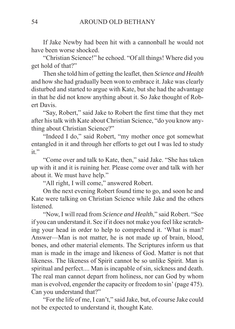If Jake Newby had been hit with a cannonball he would not have been worse shocked.

"Christian Science!" he echoed. "Of all things! Where did you get hold of that?"

Then she told him of getting the leaflet, then *Science and Health* and how she had gradually been won to embrace it. Jake was clearly disturbed and started to argue with Kate, but she had the advantage in that he did not know anything about it. So Jake thought of Robert Davis.

"Say, Robert," said Jake to Robert the first time that they met after his talk with Kate about Christian Science, "do you know anything about Christian Science?"

"Indeed I do," said Robert, "my mother once got somewhat entangled in it and through her efforts to get out I was led to study it."

"Come over and talk to Kate, then," said Jake. "She has taken up with it and it is ruining her. Please come over and talk with her about it. We must have help."

"All right, I will come," answered Robert.

On the next evening Robert found time to go, and soon he and Kate were talking on Christian Science while Jake and the others listened.

"Now, I will read from *Science and Health*," said Robert. "See if you can understand it. See if it does not make you feel like scratching your head in order to help to comprehend it. 'What is man? Answer—Man is not matter, he is not made up of brain, blood, bones, and other material elements. The Scriptures inform us that man is made in the image and likeness of God. Matter is not that likeness. The likeness of Spirit cannot be so unlike Spirit. Man is spiritual and perfect.... Man is incapable of sin, sickness and death. The real man cannot depart from holiness, nor can God by whom man is evolved, engender the capacity or freedom to sin' (page 475). Can you understand that?"

"For the life of me, I can't," said Jake, but, of course Jake could not be expected to understand it, thought Kate.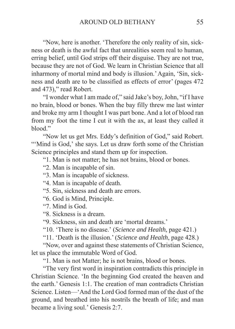"Now, here is another. 'Therefore the only reality of sin, sickness or death is the awful fact that unrealities seem real to human, erring belief, until God strips off their disguise. They are not true, because they are not of God. We learn in Christian Science that all inharmony of mortal mind and body is illusion.' Again, 'Sin, sickness and death are to be classified as effects of error' (pages 472 and 473)," read Robert.

"I wonder what I am made of," said Jake's boy, John, "if I have no brain, blood or bones. When the bay filly threw me last winter and broke my arm I thought I was part bone. And a lot of blood ran from my foot the time I cut it with the ax, at least they called it blood."

"Now let us get Mrs. Eddy's definition of God," said Robert. "'Mind is God,' she says. Let us draw forth some of the Christian Science principles and stand them up for inspection.

"1. Man is not matter; he has not brains, blood or bones.

"2. Man is incapable of sin.

"3. Man is incapable of sickness.

"4. Man is incapable of death.

"5. Sin, sickness and death are errors.

"6. God is Mind, Principle.

"7. Mind is God.

"8. Sickness is a dream.

"9. Sickness, sin and death are 'mortal dreams.'

"10. 'There is no disease.' (*Science and Health*, page 421.)

"11. 'Death is the illusion.' (*Science and Health*, page 428.)

"Now, over and against these statements of Christian Science, let us place the immutable Word of God.

"1. Man is not Matter; he is not brains, blood or bones.

"The very first word in inspiration contradicts this principle in Christian Science. 'In the beginning God created the heaven and the earth.' Genesis 1:1. The creation of man contradicts Christian Science. Listen—'And the Lord God formed man of the dust of the ground, and breathed into his nostrils the breath of life; and man became a living soul.' Genesis 2:7.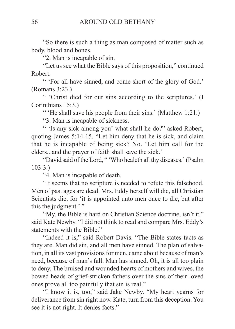"So there is such a thing as man composed of matter such as body, blood and bones.

"2. Man is incapable of sin.

"Let us see what the Bible says of this proposition," continued Robert.

" 'For all have sinned, and come short of the glory of God.' (Romans 3:23.)

" 'Christ died for our sins according to the scriptures.' (I Corinthians 15:3.)

" 'He shall save his people from their sins.' (Matthew 1:21.)

"3. Man is incapable of sickness.

" 'Is any sick among you' what shall he do?" asked Robert, quoting James 5:14-15. "Let him deny that he is sick, and claim that he is incapable of being sick? No. 'Let him call for the elders...and the prayer of faith shall save the sick.'

"David said of the Lord, " 'Who healeth all thy diseases.' (Psalm 103:3.)

"4. Man is incapable of death.

"It seems that no scripture is needed to refute this falsehood. Men of past ages are dead. Mrs. Eddy herself will die, all Christian Scientists die, for 'it is appointed unto men once to die, but after this the judgment.' "

"My, the Bible is hard on Christian Science doctrine, isn't it," said Kate Newby. "I did not think to read and compare Mrs. Eddy's statements with the Bible."

"Indeed it is," said Robert Davis. "The Bible states facts as they are. Man did sin, and all men have sinned. The plan of salvation, in all its vast provisions for men, came about because of man's need, because of man's fall. Man has sinned. Oh, it is all too plain to deny. The bruised and wounded hearts of mothers and wives, the bowed heads of grief-stricken fathers over the sins of their loved ones prove all too painfully that sin is real."

"I know it is, too," said Jake Newby. "My heart yearns for deliverance from sin right now. Kate, turn from this deception. You see it is not right. It denies facts."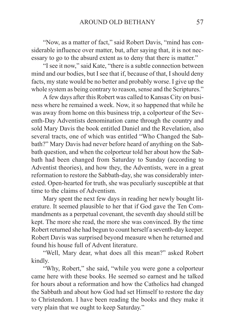"Now, as a matter of fact," said Robert Davis, "mind has considerable influence over matter, but, after saying that, it is not necessary to go to the absurd extent as to deny that there is matter."

"I see it now," said Kate, "there is a subtle connection between mind and our bodies, but I see that if, because of that, I should deny facts, my state would be no better and probably worse. I give up the whole system as being contrary to reason, sense and the Scriptures."

A few days after this Robert was called to Kansas City on business where he remained a week. Now, it so happened that while he was away from home on this business trip, a colporteur of the Seventh-Day Adventists denomination came through the country and sold Mary Davis the book entitled Daniel and the Revelation, also several tracts, one of which was entitled "Who Changed the Sabbath?" Mary Davis had never before heard of anything on the Sabbath question, and when the colporteur told her about how the Sabbath had been changed from Saturday to Sunday (according to Adventist theories), and how they, the Adventists, were in a great reformation to restore the Sabbath-day, she was considerably interested. Open-hearted for truth, she was peculiarly susceptible at that time to the claims of Adventism.

Mary spent the next few days in reading her newly bought literature. It seemed plausible to her that if God gave the Ten Commandments as a perpetual covenant, the seventh day should still be kept. The more she read, the more she was convinced. By the time Robert returned she had begun to count herself a seventh-day keeper. Robert Davis was surprised beyond measure when he returned and found his house full of Advent literature.

"Well, Mary dear, what does all this mean?" asked Robert kindly.

"Why, Robert," she said, "while you were gone a colporteur came here with these books. He seemed so earnest and he talked for hours about a reformation and how the Catholics had changed the Sabbath and about how God had set Himself to restore the day to Christendom. I have been reading the books and they make it very plain that we ought to keep Saturday."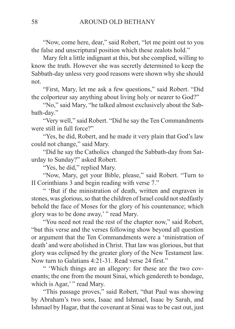"Now, come here, dear," said Robert, "let me point out to you the false and unscriptural position which these zealots hold."

Mary felt a little indignant at this, but she complied, willing to know the truth. However she was secretly determined to keep the Sabbath-day unless very good reasons were shown why she should not.

"First, Mary, let me ask a few questions," said Robert. "Did the colporteur say anything about living holy or nearer to God?"

"No," said Mary, "he talked almost exclusively about the Sabbath-day."

"Very well," said Robert. "Did he say the Ten Commandments were still in full force?"

"Yes, he did, Robert, and he made it very plain that God's law could not change," said Mary.

"Did he say the Catholics changed the Sabbath-day from Saturday to Sunday?" asked Robert.

"Yes, he did," replied Mary.

"Now, Mary, get your Bible, please," said Robert. "Turn to II Corinthians 3 and begin reading with verse 7."

" 'But if the ministration of death, written and engraven in stones, was glorious, so that the children of Israel could not stedfastly behold the face of Moses for the glory of his countenance; which glory was to be done away,' " read Mary.

"You need not read the rest of the chapter now," said Robert, "but this verse and the verses following show beyond all question or argument that the Ten Commandments were a 'ministration of death' and were abolished in Christ. That law was glorious, but that glory was eclipsed by the greater glory of the New Testament law. Now turn to Galatians 4:21-31. Read verse 24 first."

" 'Which things are an allegory: for these are the two covenants; the one from the mount Sinai, which gendereth to bondage, which is Agar,'" read Mary.

"This passage proves," said Robert, "that Paul was showing by Abraham's two sons, Isaac and Ishmael, Isaac by Sarah, and Ishmael by Hagar, that the covenant at Sinai was to be cast out, just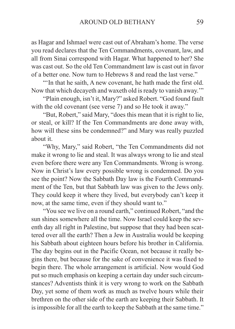as Hagar and Ishmael were cast out of Abraham's home. The verse you read declares that the Ten Commandments, covenant, law, and all from Sinai correspond with Hagar. What happened to her? She was cast out. So the old Ten Commandment law is cast out in favor of a better one. Now turn to Hebrews 8 and read the last verse."

"'In that he saith, A new covenant, he hath made the first old. Now that which decayeth and waxeth old is ready to vanish away.'"

"Plain enough, isn't it, Mary?" asked Robert. "God found fault with the old covenant (see verse 7) and so He took it away."

"But, Robert," said Mary, "does this mean that it is right to lie, or steal, or kill? If the Ten Commandments are done away with, how will these sins be condemned?" and Mary was really puzzled about it.

"Why, Mary," said Robert, "the Ten Commandments did not make it wrong to lie and steal. It was always wrong to lie and steal even before there were any Ten Commandments. Wrong is wrong. Now in Christ's law every possible wrong is condemned. Do you see the point? Now the Sabbath Day law is the Fourth Commandment of the Ten, but that Sabbath law was given to the Jews only. They could keep it where they lived, but everybody can't keep it now, at the same time, even if they should want to."

"You see we live on a round earth," continued Robert, "and the sun shines somewhere all the time. Now Israel could keep the seventh day all right in Palestine, but suppose that they had been scattered over all the earth? Then a Jew in Australia would be keeping his Sabbath about eighteen hours before his brother in California. The day begins out in the Pacific Ocean, not because it really begins there, but because for the sake of convenience it was fixed to begin there. The whole arrangement is artificial. Now would God put so much emphasis on keeping a certain day under such circumstances? Adventists think it is very wrong to work on the Sabbath Day, yet some of them work as much as twelve hours while their brethren on the other side of the earth are keeping their Sabbath. It is impossible for all the earth to keep the Sabbath at the same time."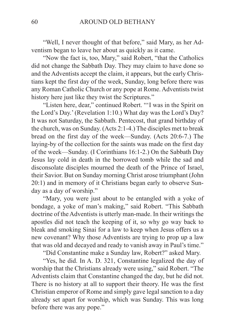"Well, I never thought of that before," said Mary, as her Adventism began to leave her about as quickly as it came.

"Now the fact is, too, Mary," said Robert, "that the Catholics did not change the Sabbath Day. They may claim to have done so and the Adventists accept the claim, it appears, but the early Christians kept the first day of the week, Sunday, long before there was any Roman Catholic Church or any pope at Rome. Adventists twist history here just like they twist the Scriptures."

"Listen here, dear," continued Robert. "'I was in the Spirit on the Lord's Day.' (Revelation 1:10.) What day was the Lord's Day? It was not Saturday, the Sabbath. Pentecost, that grand birthday of the church, was on Sunday. (Acts 2:1-4.) The disciples met to break bread on the first day of the week—Sunday. (Acts 20:6-7.) The laying-by of the collection for the saints was made on the first day of the week—Sunday. (I Corinthians 16:1-2.) On the Sabbath Day Jesus lay cold in death in the borrowed tomb while the sad and disconsolate disciples mourned the death of the Prince of Israel, their Savior. But on Sunday morning Christ arose triumphant (John 20:1) and in memory of it Christians began early to observe Sunday as a day of worship."

"Mary, you were just about to be entangled with a yoke of bondage, a yoke of man's making," said Robert. "This Sabbath doctrine of the Adventists is utterly man-made. In their writings the apostles did not teach the keeping of it, so why go way back to bleak and smoking Sinai for a law to keep when Jesus offers us a new covenant? Why those Adventists are trying to prop up a law that was old and decayed and ready to vanish away in Paul's time."

"Did Constantine make a Sunday law, Robert?" asked Mary.

"Yes, he did. In A. D. 321, Constantine legalized the day of worship that the Christians already were using," said Robert. "The Adventists claim that Constantine changed the day, but he did not. There is no history at all to support their theory. He was the first Christian emperor of Rome and simply gave legal sanction to a day already set apart for worship, which was Sunday. This was long before there was any pope."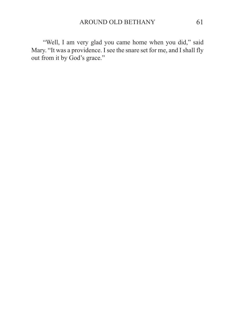"Well, I am very glad you came home when you did," said Mary. "It was a providence. I see the snare set for me, and I shall fly out from it by God's grace."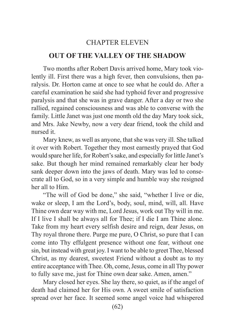## CHAPTER ELEVEN

#### **OUT OF THE VALLEY OF THE SHADOW**

Two months after Robert Davis arrived home, Mary took violently ill. First there was a high fever, then convulsions, then paralysis. Dr. Horton came at once to see what he could do. After a careful examination he said she had typhoid fever and progressive paralysis and that she was in grave danger. After a day or two she rallied, regained consciousness and was able to converse with the family. Little Janet was just one month old the day Mary took sick, and Mrs. Jake Newby, now a very dear friend, took the child and nursed it.

Mary knew, as well as anyone, that she was very ill. She talked it over with Robert. Together they most earnestly prayed that God would spare her life, for Robert's sake, and especially for little Janet's sake. But though her mind remained remarkably clear her body sank deeper down into the jaws of death. Mary was led to consecrate all to God, so in a very simple and humble way she resigned her all to Him.

"The will of God be done," she said, "whether I live or die, wake or sleep, I am the Lord's, body, soul, mind, will, all. Have Thine own dear way with me, Lord Jesus, work out Thy will in me. If I live I shall be always all for Thee; if I die I am Thine alone. Take from my heart every selfish desire and reign, dear Jesus, on Thy royal throne there. Purge me pure, O Christ, so pure that I can come into Thy effulgent presence without one fear, without one sin, but instead with great joy. I want to be able to greet Thee, blessed Christ, as my dearest, sweetest Friend without a doubt as to my entire acceptance with Thee. Oh, come, Jesus, come in all Thy power to fully save me, just for Thine own dear sake. Amen, amen."

Mary closed her eyes. She lay there, so quiet, as if the angel of death had claimed her for His own. A sweet smile of satisfaction spread over her face. It seemed some angel voice had whispered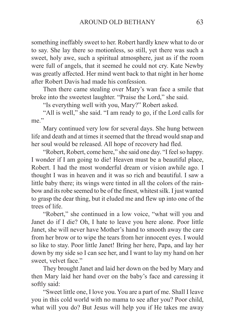something ineffably sweet to her. Robert hardly knew what to do or to say. She lay there so motionless, so still, yet there was such a sweet, holy awe, such a spiritual atmosphere, just as if the room were full of angels, that it seemed he could not cry. Kate Newby was greatly affected. Her mind went back to that night in her home after Robert Davis had made his confession.

Then there came stealing over Mary's wan face a smile that broke into the sweetest laughter. "Praise the Lord," she said.

"Is everything well with you, Mary?" Robert asked.

"All is well," she said. "I am ready to go, if the Lord calls for me."

Mary continued very low for several days. She hung between life and death and at times it seemed that the thread would snap and her soul would be released. All hope of recovery had fled.

"Robert, Robert, come here," she said one day. "I feel so happy. I wonder if I am going to die! Heaven must be a beautiful place, Robert. I had the most wonderful dream or vision awhile ago. I thought I was in heaven and it was so rich and beautiful. I saw a little baby there; its wings were tinted in all the colors of the rainbow and its robe seemed to be of the finest, whitest silk. I just wanted to grasp the dear thing, but it eluded me and flew up into one of the trees of life.

"Robert," she continued in a low voice, "what will you and Janet do if I die? Oh, I hate to leave you here alone. Poor little Janet, she will never have Mother's hand to smooth away the care from her brow or to wipe the tears from her innocent eyes. I would so like to stay. Poor little Janet! Bring her here, Papa, and lay her down by my side so I can see her, and I want to lay my hand on her sweet, velvet face."

They brought Janet and laid her down on the bed by Mary and then Mary laid her hand over on the baby's face and caressing it softly said:

"Sweet little one, I love you. You are a part of me. Shall I leave you in this cold world with no mama to see after you? Poor child, what will you do? But Jesus will help you if He takes me away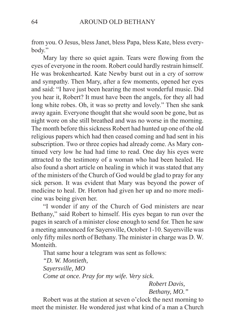from you. O Jesus, bless Janet, bless Papa, bless Kate, bless everybody."

Mary lay there so quiet again. Tears were flowing from the eyes of everyone in the room. Robert could hardly restrain himself. He was brokenhearted. Kate Newby burst out in a cry of sorrow and sympathy. Then Mary, after a few moments, opened her eyes and said: "I have just been hearing the most wonderful music. Did you hear it, Robert? It must have been the angels, for they all had long white robes. Oh, it was so pretty and lovely." Then she sank away again. Everyone thought that she would soon be gone, but as night wore on she still breathed and was no worse in the morning. The month before this sickness Robert had hunted up one of the old religious papers which had then ceased coming and had sent in his subscription. Two or three copies had already come. As Mary continued very low he had had time to read. One day his eyes were attracted to the testimony of a woman who had been healed. He also found a short article on healing in which it was stated that any of the ministers of the Church of God would be glad to pray for any sick person. It was evident that Mary was beyond the power of medicine to heal. Dr. Horton had given her up and no more medicine was being given her.

"I wonder if any of the Church of God ministers are near Bethany," said Robert to himself. His eyes began to run over the pages in search of a minister close enough to send for. Then he saw a meeting announced for Sayersville, October 1-10. Sayersville was only fifty miles north of Bethany. The minister in charge was D. W. Monteith.

That same hour a telegram was sent as follows: *"D. W. Montieth, Sayersville, MO Come at once. Pray for my wife. Very sick. Robert Davis,*

*Bethany, MO."*

Robert was at the station at seven o'clock the next morning to meet the minister. He wondered just what kind of a man a Church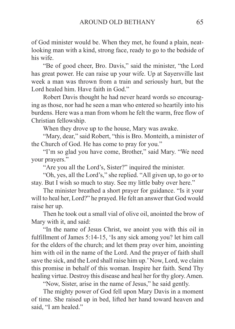of God minister would be. When they met, he found a plain, neatlooking man with a kind, strong face, ready to go to the bedside of his wife.

"Be of good cheer, Bro. Davis," said the minister, "the Lord has great power. He can raise up your wife. Up at Sayersville last week a man was thrown from a train and seriously hurt, but the Lord healed him. Have faith in God."

Robert Davis thought he had never heard words so encouraging as those, nor had he seen a man who entered so heartily into his burdens. Here was a man from whom he felt the warm, free flow of Christian fellowship.

When they drove up to the house, Mary was awake.

"Mary, dear," said Robert, "this is Bro. Monteith, a minister of the Church of God. He has come to pray for you."

"I'm so glad you have come, Brother," said Mary. "We need your prayers."

"Are you all the Lord's, Sister?" inquired the minister.

"Oh, yes, all the Lord's," she replied. "All given up, to go or to stay. But I wish so much to stay. See my little baby over here."

The minister breathed a short prayer for guidance. "Is it your will to heal her, Lord?" he prayed. He felt an answer that God would raise her up.

Then he took out a small vial of olive oil, anointed the brow of Mary with it, and said:

"In the name of Jesus Christ, we anoint you with this oil in fulfillment of James 5:14-15, 'Is any sick among you? let him call for the elders of the church; and let them pray over him, anointing him with oil in the name of the Lord. And the prayer of faith shall save the sick, and the Lord shall raise him up.' Now, Lord, we claim this promise in behalf of this woman. Inspire her faith. Send Thy healing virtue. Destroy this disease and heal her for thy glory. Amen.

"Now, Sister, arise in the name of Jesus," he said gently.

The mighty power of God fell upon Mary Davis in a moment of time. She raised up in bed, lifted her hand toward heaven and said, "I am healed."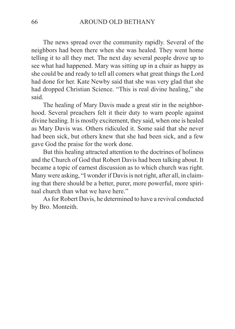The news spread over the community rapidly. Several of the neighbors had been there when she was healed. They went home telling it to all they met. The next day several people drove up to see what had happened. Mary was sitting up in a chair as happy as she could be and ready to tell all comers what great things the Lord had done for her. Kate Newby said that she was very glad that she had dropped Christian Science. "This is real divine healing," she said.

The healing of Mary Davis made a great stir in the neighborhood. Several preachers felt it their duty to warn people against divine healing. It is mostly excitement, they said, when one is healed as Mary Davis was. Others ridiculed it. Some said that she never had been sick, but others knew that she had been sick, and a few gave God the praise for the work done.

But this healing attracted attention to the doctrines of holiness and the Church of God that Robert Davis had been talking about. It became a topic of earnest discussion as to which church was right. Many were asking, "I wonder if Davis is not right, after all, in claiming that there should be a better, purer, more powerful, more spiritual church than what we have here."

As for Robert Davis, he determined to have a revival conducted by Bro. Monteith.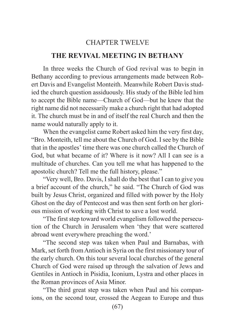# CHAPTER TWELVE

## **THE REVIVAL MEETING IN BETHANY**

In three weeks the Church of God revival was to begin in Bethany according to previous arrangements made between Robert Davis and Evangelist Monteith. Meanwhile Robert Davis studied the church question assiduously. His study of the Bible led him to accept the Bible name—Church of God—but he knew that the right name did not necessarily make a church right that had adopted it. The church must be in and of itself the real Church and then the name would naturally apply to it.

When the evangelist came Robert asked him the very first day, "Bro. Monteith, tell me about the Church of God. I see by the Bible that in the apostles' time there was one church called the Church of God, but what became of it? Where is it now? All I can see is a multitude of churches. Can you tell me what has happened to the apostolic church? Tell me the full history, please."

"Very well, Bro. Davis, I shall do the best that I can to give you a brief account of the church," he said. "The Church of God was built by Jesus Christ, organized and filled with power by the Holy Ghost on the day of Pentecost and was then sent forth on her glorious mission of working with Christ to save a lost world.

"The first step toward world evangelism followed the persecution of the Church in Jerusalem when 'they that were scattered abroad went everywhere preaching the word.'

"The second step was taken when Paul and Barnabas, with Mark, set forth from Antioch in Syria on the first missionary tour of the early church. On this tour several local churches of the general Church of God were raised up through the salvation of Jews and Gentiles in Antioch in Pisidia, Iconium, Lystra and other places in the Roman provinces of Asia Minor.

"The third great step was taken when Paul and his companions, on the second tour, crossed the Aegean to Europe and thus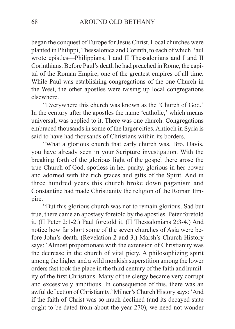began the conquest of Europe for Jesus Christ. Local churches were planted in Philippi, Thessalonica and Corinth, to each of which Paul wrote epistles—Philippians, I and II Thessalonians and I and II Corinthians. Before Paul's death he had preached in Rome, the capital of the Roman Empire, one of the greatest empires of all time. While Paul was establishing congregations of the one Church in the West, the other apostles were raising up local congregations elsewhere.

"Everywhere this church was known as the 'Church of God.' In the century after the apostles the name 'catholic,' which means universal, was applied to it. There was one church. Congregations embraced thousands in some of the larger cities. Antioch in Syria is said to have had thousands of Christians within its borders.

"What a glorious church that early church was, Bro. Davis, you have already seen in your Scripture investigation. With the breaking forth of the glorious light of the gospel there arose the true Church of God, spotless in her purity, glorious in her power and adorned with the rich graces and gifts of the Spirit. And in three hundred years this church broke down paganism and Constantine had made Christianity the religion of the Roman Empire.

"But this glorious church was not to remain glorious. Sad but true, there came an apostasy foretold by the apostles. Peter foretold it. (II Peter 2:1-2.) Paul foretold it. (II Thessalonians 2:3-4.) And notice how far short some of the seven churches of Asia were before John's death. (Revelation 2 and 3.) Marsh's Church History says: 'Almost proportionate with the extension of Christianity was the decrease in the church of vital piety. A philosophizing spirit among the higher and a wild monkish superstition among the lower orders fast took the place in the third century of the faith and humility of the first Christians. Many of the clergy became very corrupt and excessively ambitious. In consequence of this, there was an awful deflection of Christianity.' Milner's Church History says: 'And if the faith of Christ was so much declined (and its decayed state ought to be dated from about the year 270), we need not wonder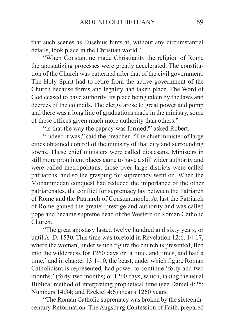that such scenes as Eusebius hints at, without any circumstantial details, took place in the Christian world.'

"When Constantine made Christianity the religion of Rome the apostatizing processes were greatly accelerated. The constitution of the Church was patterned after that of the civil government. The Holy Spirit had to retire from the active government of the Church because forms and legality had taken place. The Word of God ceased to have authority, its place being taken by the laws and decrees of the councils. The clergy arose to great power and pomp and there was a long line of graduations made in the ministry, some of these offices given much more authority than others."

"Is that the way the papacy was formed?" asked Robert.

"Indeed it was," said the preacher. "The chief minister of large cities obtained control of the ministry of that city and surrounding towns. These chief ministers were called diocesans. Ministers in still more prominent places came to have a still wider authority and were called metropolitans, those over large districts were called patriarchs, and so the grasping for supremacy went on. When the Mohammedan conquest had reduced the importance of the other patriarchates, the conflict for supremacy lay between the Patriarch of Rome and the Patriarch of Constantinople. At last the Patriarch of Rome gained the greater prestige and authority and was called pope and became supreme head of the Western or Roman Catholic Church.

"The great apostasy lasted twelve hundred and sixty years, or until A. D. 1530. This time was foretold in Revelation 12:6, 14-17, where the woman, under which figure the church is presented, fled into the wilderness for 1260 days or 'a time, and times, and half a time,' and in chapter 13:1-10, the beast, under which figure Roman Catholicism is represented, had power to continue 'forty and two months,' (forty-two months) or 1260 days, which, taking the usual Biblical method of interpreting prophetical time (see Daniel 4:25; Numbers 14:34; and Ezekiel 4:6) means 1260 years.

"The Roman Catholic supremacy was broken by the sixteenthcentury Reformation. The Augsburg Confession of Faith, prepared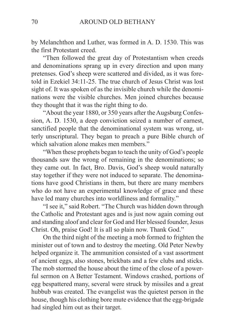by Melanchthon and Luther, was formed in A. D. 1530. This was the first Protestant creed.

"Then followed the great day of Protestantism when creeds and denominations sprang up in every direction and upon many pretenses. God's sheep were scattered and divided, as it was foretold in Ezekiel 34:11-25. The true church of Jesus Christ was lost sight of. It was spoken of as the invisible church while the denominations were the visible churches. Men joined churches because they thought that it was the right thing to do.

"About the year 1880, or 350 years after the Augsburg Confession, A. D. 1530, a deep conviction seized a number of earnest, sanctified people that the denominational system was wrong, utterly unscriptural. They began to preach a pure Bible church of which salvation alone makes men members."

"When these prophets began to teach the unity of God's people thousands saw the wrong of remaining in the denominations; so they came out. In fact, Bro. Davis, God's sheep would naturally stay together if they were not induced to separate. The denominations have good Christians in them, but there are many members who do not have an experimental knowledge of grace and these have led many churches into worldliness and formality."

"I see it," said Robert. "The Church was hidden down through the Catholic and Protestant ages and is just now again coming out and standing aloof and clear for God and Her blessed founder, Jesus Christ. Oh, praise God! It is all so plain now. Thank God."

On the third night of the meeting a mob formed to frighten the minister out of town and to destroy the meeting. Old Peter Newby helped organize it. The ammunition consisted of a vast assortment of ancient eggs, also stones, brickbats and a few clubs and sticks. The mob stormed the house about the time of the close of a powerful sermon on A Better Testament. Windows crashed, portions of egg bespattered many, several were struck by missiles and a great hubbub was created. The evangelist was the quietest person in the house, though his clothing bore mute evidence that the egg-brigade had singled him out as their target.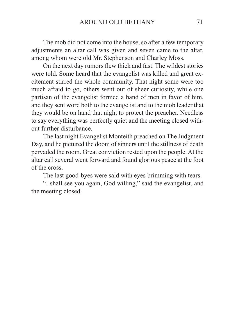The mob did not come into the house, so after a few temporary adjustments an altar call was given and seven came to the altar, among whom were old Mr. Stephenson and Charley Moss.

On the next day rumors flew thick and fast. The wildest stories were told. Some heard that the evangelist was killed and great excitement stirred the whole community. That night some were too much afraid to go, others went out of sheer curiosity, while one partisan of the evangelist formed a band of men in favor of him, and they sent word both to the evangelist and to the mob leader that they would be on hand that night to protect the preacher. Needless to say everything was perfectly quiet and the meeting closed without further disturbance.

The last night Evangelist Monteith preached on The Judgment Day, and he pictured the doom of sinners until the stillness of death pervaded the room. Great conviction rested upon the people. At the altar call several went forward and found glorious peace at the foot of the cross.

The last good-byes were said with eyes brimming with tears.

"I shall see you again, God willing," said the evangelist, and the meeting closed.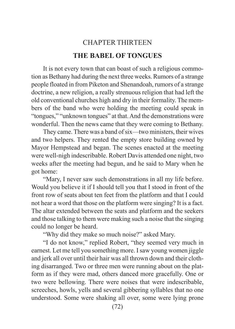## CHAPTER THIRTEEN **THE BABEL OF TONGUES**

It is not every town that can boast of such a religious commotion as Bethany had during the next three weeks. Rumors of a strange people floated in from Piketon and Shenandoah, rumors of a strange doctrine, a new religion, a really strenuous religion that had left the old conventional churches high and dry in their formality. The members of the band who were holding the meeting could speak in "tongues," "unknown tongues" at that. And the demonstrations were wonderful. Then the news came that they were coming to Bethany.

They came. There was a band of six—two ministers, their wives and two helpers. They rented the empty store building owned by Mayor Hempstead and began. The scenes enacted at the meeting were well-nigh indescribable. Robert Davis attended one night, two weeks after the meeting had begun, and he said to Mary when he got home:

"Mary, I never saw such demonstrations in all my life before. Would you believe it if I should tell you that I stood in front of the front row of seats about ten feet from the platform and that I could not hear a word that those on the platform were singing? It is a fact. The altar extended between the seats and platform and the seekers and those talking to them were making such a noise that the singing could no longer be heard.

"Why did they make so much noise?" asked Mary.

"I do not know," replied Robert, "they seemed very much in earnest. Let me tell you something more. I saw young women jiggle and jerk all over until their hair was all thrown down and their clothing disarranged. Two or three men were running about on the platform as if they were mad, others danced more gracefully. One or two were bellowing. There were noises that were indescribable, screeches, howls, yells and several gibbering syllables that no one understood. Some were shaking all over, some were lying prone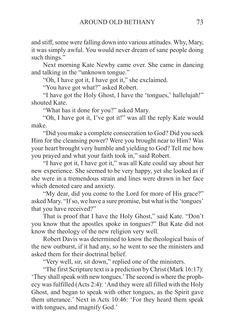and stiff, some were falling down into various attitudes. Why, Mary, it was simply awful. You would never dream of sane people doing such things."

Next morning Kate Newby came over. She came in dancing and talking in the "unknown tongue."

"Oh, I have got it, I have got it," she exclaimed.

"You have got what?" asked Robert.

"I have got the Holy Ghost, I have the 'tongues,' hallelujah!" shouted Kate.

"What has it done for you?" asked Mary.

"Oh, I have got it, I've got it!" was all the reply Kate would make.

"Did you make a complete consecration to God? Did you seek Him for the cleansing power? Were you brought near to Him? Was your heart brought very humble and yielding to God? Tell me how you prayed and what your faith took in," said Robert.

"I have got it, I have got it," was all Kate could say about her new experience. She seemed to be very happy, yet she looked as if she were in a tremendous strain and lines were drawn in her face which denoted care and anxiety.

"My dear, did you come to the Lord for more of His grace?" asked Mary. "If so, we have a sure promise, but what is the 'tongues' that you have received?"

That is proof that I have the Holy Ghost," said Kate. "Don't you know that the apostles spoke in tongues?" But Kate did not know the theology of the new religion very well.

Robert Davis was determined to know the theological basis of the new outburst, if it had any, so he went to see the ministers and asked them for their doctrinal belief.

"Very well, sir, sit down," replied one of the ministers.

"The first Scripture text is a prediction by Christ (Mark 16:17): 'They shall speak with new tongues.' The second is where the prophecy was fulfilled (Acts 2:4): 'And they were all filled with the Holy Ghost, and began to speak with other tongues, as the Spirit gave them utterance.' Next in Acts 10:46: 'For they heard them speak with tongues, and magnify God.'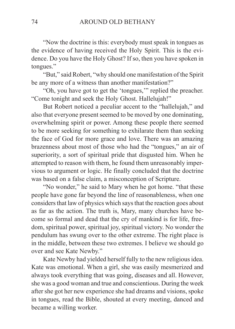"Now the doctrine is this: everybody must speak in tongues as the evidence of having received the Holy Spirit. This is the evidence. Do you have the Holy Ghost? If so, then you have spoken in tongues."

"But," said Robert, "why should one manifestation of the Spirit be any more of a witness than another manifestation?"

"Oh, you have got to get the 'tongues,'" replied the preacher. "Come tonight and seek the Holy Ghost. Hallelujah!"

But Robert noticed a peculiar accent to the "hallelujah," and also that everyone present seemed to be moved by one dominating, overwhelming spirit or power. Among these people there seemed to be more seeking for something to exhilarate them than seeking the face of God for more grace and love. There was an amazing brazenness about most of those who had the "tongues," an air of superiority, a sort of spiritual pride that disgusted him. When he attempted to reason with them, he found them unreasonably impervious to argument or logic. He finally concluded that the doctrine was based on a false claim, a misconception of Scripture.

"No wonder," he said to Mary when he got home. "that these people have gone far beyond the line of reasonableness, when one considers that law of physics which says that the reaction goes about as far as the action. The truth is, Mary, many churches have become so formal and dead that the cry of mankind is for life, freedom, spiritual power, spiritual joy, spiritual victory. No wonder the pendulum has swung over to the other extreme. The right place is in the middle, between these two extremes. I believe we should go over and see Kate Newby."

Kate Newby had yielded herself fully to the new religious idea. Kate was emotional. When a girl, she was easily mesmerized and always took everything that was going, diseases and all. However, she was a good woman and true and conscientious. During the week after she got her new experience she had dreams and visions, spoke in tongues, read the Bible, shouted at every meeting, danced and became a willing worker.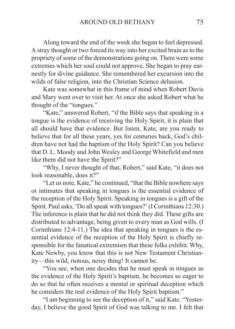Along toward the end of the week she began to feel depressed. A stray thought or two forced its way into her excited brain as to the propriety of some of the demonstrations going on. There were some extremes which her soul could not approve. She began to pray earnestly for divine guidance. She remembered her excursion into the wilds of false religion, into the Christian Science delusion.

Kate was somewhat in this frame of mind when Robert Davis and Mary went over to visit her. At once she asked Robert what he thought of the "tongues."

"Kate," answered Robert, "if the Bible says that speaking in a tongue is the evidence of receiving the Holy Spirit, it is plain that all should have that evidence. But listen, Kate, are you ready to believe that for all these years, yes for centuries back, God's children have not had the baptism of the Holy Spirit? Can you believe that D. L. Moody and John Wesley and George Whitefield and men like them did not have the Spirit?"

"Why, I never thought of that, Robert," said Kate, "it does not look reasonable, does it?"

"Let us note, Kate," he continued, "that the Bible nowhere says or intimates that speaking in tongues is the essential evidence of the reception of the Holy Spirit. Speaking in tongues is a gift of the Spirit. Paul asks, 'Do all speak with tongues?' (I Corinthians 12:30.) The inference is plain that he did not think they did. These gifts are distributed to advantage, being given to every man as God wills. (I Corinthians 12:4-11.) The idea that speaking in tongues is the essential evidence of the reception of the Holy Spirit is chiefly responsible for the fanatical extremism that these folks exhibit. Why, Kate Newby, you know that this is not New Testament Christianity—this wild, riotous, noisy thing! It cannot be.

"You see, when one decides that he must speak in tongues as the evidence of the Holy Spirit's baptism, he becomes so eager to do so that he often receives a mental or spiritual deception which he considers the real evidence of the Holy Spirit baptism."

"I am beginning to see the deception of it," said Kate. "Yesterday, I believe the good Spirit of God was talking to me. I felt that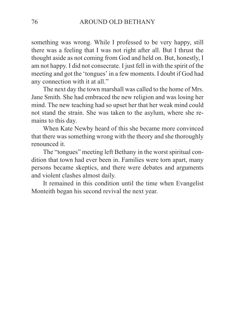something was wrong. While I professed to be very happy, still there was a feeling that I was not right after all. But I thrust the thought aside as not coming from God and held on. But, honestly, I am not happy. I did not consecrate. I just fell in with the spirit of the meeting and got the 'tongues' in a few moments. I doubt if God had any connection with it at all."

The next day the town marshall was called to the home of Mrs. Jane Smith. She had embraced the new religion and was losing her mind. The new teaching had so upset her that her weak mind could not stand the strain. She was taken to the asylum, where she remains to this day.

When Kate Newby heard of this she became more convinced that there was something wrong with the theory and she thoroughly renounced it.

The "tongues" meeting left Bethany in the worst spiritual condition that town had ever been in. Families were torn apart, many persons became skeptics, and there were debates and arguments and violent clashes almost daily.

It remained in this condition until the time when Evangelist Monteith began his second revival the next year.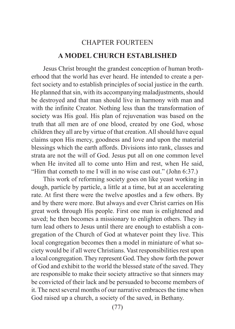## CHAPTER FOURTEEN **A MODEL CHURCH ESTABLISHED**

Jesus Christ brought the grandest conception of human brotherhood that the world has ever heard. He intended to create a perfect society and to establish principles of social justice in the earth. He planned that sin, with its accompanying maladjustments, should be destroyed and that man should live in harmony with man and with the infinite Creator. Nothing less than the transformation of society was His goal. His plan of rejuvenation was based on the truth that all men are of one blood, created by one God, whose children they all are by virtue of that creation. All should have equal claims upon His mercy, goodness and love and upon the material blessings which the earth affords. Divisions into rank, classes and strata are not the will of God. Jesus put all on one common level when He invited all to come unto Him and rest, when He said, "Him that cometh to me I will in no wise cast out." (John 6:37.)

This work of reforming society goes on like yeast working in dough, particle by particle, a little at a time, but at an accelerating rate. At first there were the twelve apostles and a few others. By and by there were more. But always and ever Christ carries on His great work through His people. First one man is enlightened and saved; he then becomes a missionary to enlighten others. They in turn lead others to Jesus until there are enough to establish a congregation of the Church of God at whatever point they live. This local congregation becomes then a model in miniature of what society would be if all were Christians. Vast responsibilities rest upon a local congregation. They represent God. They show forth the power of God and exhibit to the world the blessed state of the saved. They are responsible to make their society attractive so that sinners may be convicted of their lack and be persuaded to become members of it. The next several months of our narrative embraces the time when God raised up a church, a society of the saved, in Bethany.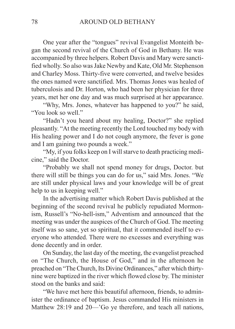One year after the "tongues" revival Evangelist Monteith began the second revival of the Church of God in Bethany. He was accompanied by three helpers. Robert Davis and Mary were sanctified wholly. So also was Jake Newby and Kate, Old Mr. Stephenson and Charley Moss. Thirty-five were converted, and twelve besides the ones named were sanctified. Mrs. Thomas Jones was healed of tuberculosis and Dr. Horton, who had been her physician for three years, met her one day and was much surprised at her appearance.

"Why, Mrs. Jones, whatever has happened to you?" he said, "You look so well."

"Hadn't you heard about my healing, Doctor?" she replied pleasantly. "At the meeting recently the Lord touched my body with His healing power and I do not cough anymore, the fever is gone and I am gaining two pounds a week."

"My, if you folks keep on I will starve to death practicing medicine," said the Doctor.

"Probably we shall not spend money for drugs, Doctor. but there will still be things you can do for us," said Mrs. Jones. "We are still under physical laws and your knowledge will be of great help to us in keeping well."

In the advertising matter which Robert Davis published at the beginning of the second revival he publicly repudiated Mormonism, Russell's "No-hell-ism," Adventism and announced that the meeting was under the auspices of the Church of God. The meeting itself was so sane, yet so spiritual, that it commended itself to everyone who attended. There were no excesses and everything was done decently and in order.

On Sunday, the last day of the meeting, the evangelist preached on "The Church, the House of God," and in the afternoon he preached on "The Church, Its Divine Ordinances," after which thirtynine were baptized in the river which flowed close by. The minister stood on the banks and said:

"We have met here this beautiful afternoon, friends, to administer the ordinance of baptism. Jesus commanded His ministers in Matthew 28:19 and 20—'Go ye therefore, and teach all nations,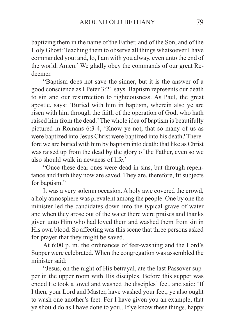baptizing them in the name of the Father, and of the Son, and of the Holy Ghost: Teaching them to observe all things whatsoever I have commanded you: and, lo, I am with you alway, even unto the end of the world. Amen.' We gladly obey the commands of our great Redeemer.

"Baptism does not save the sinner, but it is the answer of a good conscience as I Peter 3:21 says. Baptism represents our death to sin and our resurrection to righteousness. As Paul, the great apostle, says: 'Buried with him in baptism, wherein also ye are risen with him through the faith of the operation of God, who hath raised him from the dead.' The whole idea of baptism is beautifully pictured in Romans 6:3-4, 'Know ye not, that so many of us as were baptized into Jesus Christ were baptized into his death? Therefore we are buried with him by baptism into death: that like as Christ was raised up from the dead by the glory of the Father, even so we also should walk in newness of life.'

"Once these dear ones were dead in sins, but through repentance and faith they now are saved. They are, therefore, fit subjects for baptism."

It was a very solemn occasion. A holy awe covered the crowd, a holy atmosphere was prevalent among the people. One by one the minister led the candidates down into the typical grave of water and when they arose out of the water there were praises and thanks given unto Him who had loved them and washed them from sin in His own blood. So affecting was this scene that three persons asked for prayer that they might be saved.

At 6:00 p. m. the ordinances of feet-washing and the Lord's Supper were celebrated. When the congregation was assembled the minister said:

"Jesus, on the night of His betrayal, ate the last Passover supper in the upper room with His disciples. Before this supper was ended He took a towel and washed the disciples' feet, and said: 'If I then, your Lord and Master, have washed your feet; ye also ought to wash one another's feet. For I have given you an example, that ye should do as I have done to you...If ye know these things, happy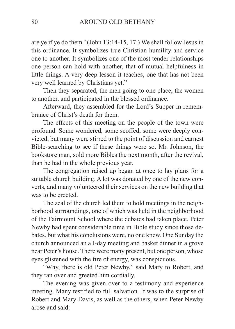are ye if ye do them.' (John 13:14-15, 17.) We shall follow Jesus in this ordinance. It symbolizes true Christian humility and service one to another. It symbolizes one of the most tender relationships one person can hold with another, that of mutual helpfulness in little things. A very deep lesson it teaches, one that has not been very well learned by Christians yet."

Then they separated, the men going to one place, the women to another, and participated in the blessed ordinance.

Afterward, they assembled for the Lord's Supper in remembrance of Christ's death for them.

The effects of this meeting on the people of the town were profound. Some wondered, some scoffed, some were deeply convicted, but many were stirred to the point of discussion and earnest Bible-searching to see if these things were so. Mr. Johnson, the bookstore man, sold more Bibles the next month, after the revival, than he had in the whole previous year.

The congregation raised up began at once to lay plans for a suitable church building. A lot was donated by one of the new converts, and many volunteered their services on the new building that was to be erected.

The zeal of the church led them to hold meetings in the neighborhood surroundings, one of which was held in the neighborhood of the Fairmount School where the debates had taken place. Peter Newby had spent considerable time in Bible study since those debates, but what his conclusions were, no one knew. One Sunday the church announced an all-day meeting and basket dinner in a grove near Peter's house. There were many present, but one person, whose eyes glistened with the fire of energy, was conspicuous.

"Why, there is old Peter Newby," said Mary to Robert, and they ran over and greeted him cordially.

The evening was given over to a testimony and experience meeting. Many testified to full salvation. It was to the surprise of Robert and Mary Davis, as well as the others, when Peter Newby arose and said: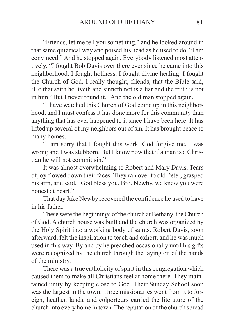"Friends, let me tell you something," and he looked around in that same quizzical way and poised his head as he used to do. "I am convinced." And he stopped again. Everybody listened most attentively. "I fought Bob Davis over there ever since he came into this neighborhood. I fought holiness. I fought divine healing. I fought the Church of God. I really thought, friends, that the Bible said, 'He that saith he liveth and sinneth not is a liar and the truth is not in him.' But I never found it." And the old man stopped again.

"I have watched this Church of God come up in this neighborhood, and I must confess it has done more for this community than anything that has ever happened to it since I have been here. It has lifted up several of my neighbors out of sin. It has brought peace to many homes.

"I am sorry that I fought this work. God forgive me. I was wrong and I was stubborn. But I know now that if a man is a Christian he will not commit sin."

It was almost overwhelming to Robert and Mary Davis. Tears of joy flowed down their faces. They ran over to old Peter, grasped his arm, and said, "God bless you, Bro. Newby, we knew you were honest at heart."

That day Jake Newby recovered the confidence he used to have in his father.

These were the beginnings of the church at Bethany, the Church of God. A church house was built and the church was organized by the Holy Spirit into a working body of saints. Robert Davis, soon afterward, felt the inspiration to teach and exhort, and he was much used in this way. By and by he preached occasionally until his gifts were recognized by the church through the laying on of the hands of the ministry.

There was a true catholicity of spirit in this congregation which caused them to make all Christians feel at home there. They maintained unity by keeping close to God. Their Sunday School soon was the largest in the town. Three missionaries went from it to foreign, heathen lands, and colporteurs carried the literature of the church into every home in town. The reputation of the church spread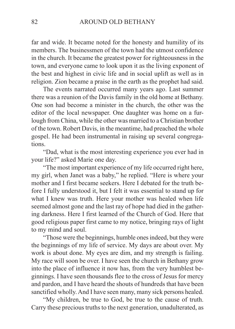far and wide. It became noted for the honesty and humility of its members. The businessmen of the town had the utmost confidence in the church. It became the greatest power for righteousness in the town, and everyone came to look upon it as the living exponent of the best and highest in civic life and in social uplift as well as in religion. Zion became a praise in the earth as the prophet had said.

The events narrated occurred many years ago. Last summer there was a reunion of the Davis family in the old home at Bethany. One son had become a minister in the church, the other was the editor of the local newspaper. One daughter was home on a furlough from China, while the other was married to a Christian brother of the town. Robert Davis, in the meantime, had preached the whole gospel. He had been instrumental in raising up several congregations.

"Dad, what is the most interesting experience you ever had in your life?" asked Marie one day.

"The most important experience of my life occurred right here, my girl, when Janet was a baby," he replied. "Here is where your mother and I first became seekers. Here I debated for the truth before I fully understood it, but I felt it was essential to stand up for what I knew was truth. Here your mother was healed when life seemed almost gone and the last ray of hope had died in the gathering darkness. Here I first learned of the Church of God. Here that good religious paper first came to my notice, bringing rays of light to my mind and soul.

"Those were the beginnings, humble ones indeed, but they were the beginnings of my life of service. My days are about over. My work is about done. My eyes are dim, and my strength is failing. My race will soon be over. I have seen the church in Bethany grow into the place of influence it now has, from the very humblest beginnings. I have seen thousands flee to the cross of Jesus for mercy and pardon, and I have heard the shouts of hundreds that have been sanctified wholly. And I have seen many, many sick persons healed.

"My children, be true to God, be true to the cause of truth. Carry these precious truths to the next generation, unadulterated, as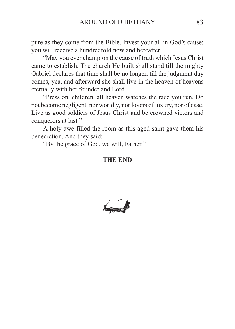pure as they come from the Bible. Invest your all in God's cause; you will receive a hundredfold now and hereafter.

"May you ever champion the cause of truth which Jesus Christ came to establish. The church He built shall stand till the mighty Gabriel declares that time shall be no longer, till the judgment day comes, yea, and afterward she shall live in the heaven of heavens eternally with her founder and Lord.

"Press on, children, all heaven watches the race you run. Do not become negligent, nor worldly, nor lovers of luxury, nor of ease. Live as good soldiers of Jesus Christ and be crowned victors and conquerors at last."

A holy awe filled the room as this aged saint gave them his benediction. And they said:

"By the grace of God, we will, Father."

## **THE END**